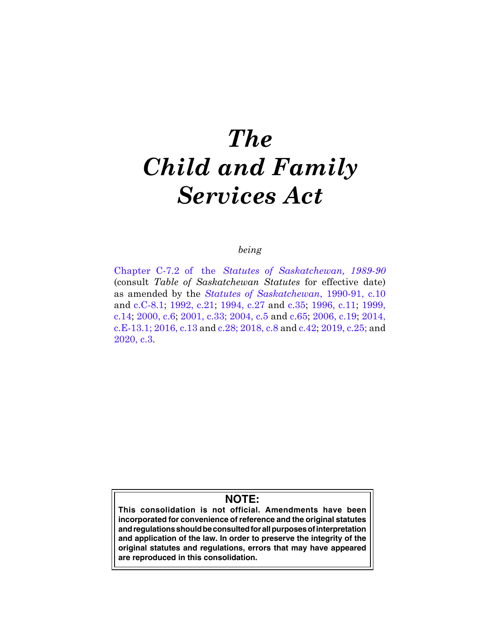# *The Child and Family Services Act*

## *being*

[Ch](https://publications.saskatchewan.ca:443/api/v1/products/24477/formats/31421/download)apter C-7.2 of the *Statutes of Saskatchewan, 1989-90* (consult *Table of Saskatchewan Statutes* for effective date) as amended by the *[St](https://publications.saskatchewan.ca:443/api/v1/products/24626/formats/31681/download)atutes of Saskatchewan*, 1990-91, c.10 and [c](https://publications.saskatchewan.ca:443/api/v1/products/24727/formats/31814/download).C-8.1; [1](https://publications.saskatchewan.ca:443/api/v1/products/25200/formats/32523/download)992, c.21; [19](https://publications.saskatchewan.ca:443/api/v1/products/26335/formats/33405/download)94, c.27 and c[.3](https://publications.saskatchewan.ca:443/api/v1/products/26343/formats/33421/download)5; [19](https://publications.saskatchewan.ca:443/api/v1/products/25313/formats/32745/download)96, c.11; [19](https://publications.saskatchewan.ca:443/api/v1/products/3557/formats/6704/download)99, c.14; [2](https://publications.saskatchewan.ca:443/api/v1/products/3462/formats/6514/download)000, c.6; [20](https://publications.saskatchewan.ca:443/api/v1/products/3417/formats/6425/download)01, c.33; [20](https://publications.saskatchewan.ca:443/api/v1/products/9323/formats/14031/download)04, c.5 and c.[65](https://publications.saskatchewan.ca:443/api/v1/products/9538/formats/14452/download); [20](https://publications.saskatchewan.ca:443/api/v1/products/12127/formats/18046/download)06, c.19; [20](https://publications.saskatchewan.ca:443/api/v1/products/70626/formats/78515/download)14, c.E-13.1; [2016, c.13](https://publications.saskatchewan.ca:443/api/v1/products/83652/formats/96821/download) and [c.28](https://publications.saskatchewan.ca:443/api/v1/products/83903/formats/97060/download); [2018, c.8](https://publications.saskatchewan.ca:443/api/v1/products/90486/formats/107357/download) and [c.42;](https://publications.saskatchewan.ca:443/api/v1/products/90531/formats/107441/download) [2019, c.25](https://publications.saskatchewan.ca:443/api/v1/products/101569/formats/112303/download); and [2020, c.3.](https://publications.saskatchewan.ca:443/api/v1/products/105123/formats/117209/download)

## **NOTE:**

**This consolidation is not official. Amendments have been incorporated for convenience of reference and the original statutes and regulations should be consulted for all purposes of interpretation and application of the law. In order to preserve the integrity of the original statutes and regulations, errors that may have appeared are reproduced in this consolidation.**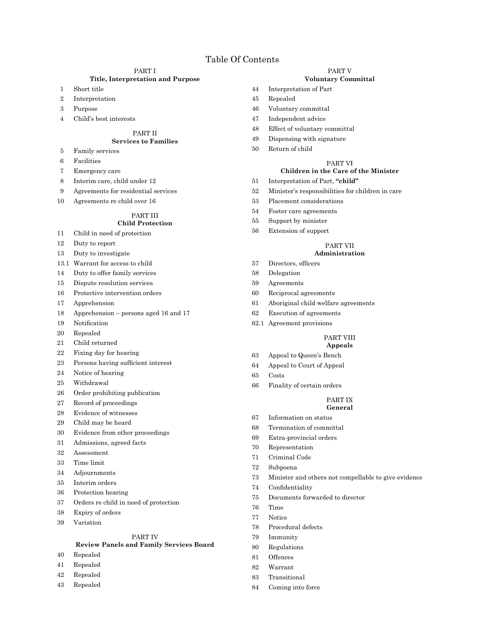#### PART I

#### **Title, Interpretation and Purpose**

- Short title
- Interpretation
- Purpose
- Child's best interests

#### PART II

## **Services to Families**

- Family services
- Facilities
- Emergency care
- Interim care, child under 12
- Agreements for residential services
- Agreements re child over 16

#### PART III

#### **Child Protection**

- Child in need of protection
- Duty to report
- Duty to investigate
- 13.1 Warrant for access to child
- Duty to offer family services
- Dispute resolution services
- Protective intervention orders
- Apprehension
- Apprehension persons aged 16 and 17
- 19 Notification
- Repealed
- Child returned
- Fixing day for hearing
- 23 Persons having sufficient interest
- Notice of hearing
- Withdrawal
- Order prohibiting publication
- Record of proceedings
- Evidence of witnesses
- Child may be heard
- Evidence from other proceedings
- Admissions, agreed facts
- Assessment
- Time limit
- Adjournments
- Interim orders
- Protection hearing
- Orders re child in need of protection
- Expiry of orders
- Variation

#### PART IV

#### **Review Panels and Family Services Board**

- Repealed
- Repealed
- Repealed
- Repealed

#### PART V

#### **Voluntary Committal**

- Interpretation of Part
- Repealed
- Voluntary committal
- Independent advice
- Effect of voluntary committal
- Dispensing with signature
- Return of child

#### PART VI

#### **Children in the Care of the Minister**

- Interpretation of Part, **"child"**
- Minister's responsibilities for children in care
- Placement considerations
- Foster care agreements
- Support by minister
- Extension of support

## PART VII

#### **Administration**

- 57 Directors, officers
- Delegation
- Agreements
- Reciprocal agreements
- Aboriginal child welfare agreements
- Execution of agreements
- 62.1 Agreement provisions

#### PART VIII

## **Appeals**

- Appeal to Queen's Bench
- Appeal to Court of Appeal
- Costs
- Finality of certain orders

#### PART IX **General**

- Information on status
- Termination of committal
- Extra-provincial orders
- Representation
- Criminal Code
- Subpoena
- Minister and others not compellable to give evidence
- 74 Confidentiality
- Documents forwarded to director
- Time
- Notice
- Procedural defects
- Immunity
- Regulations Offences

 Warrant Transitional Coming into force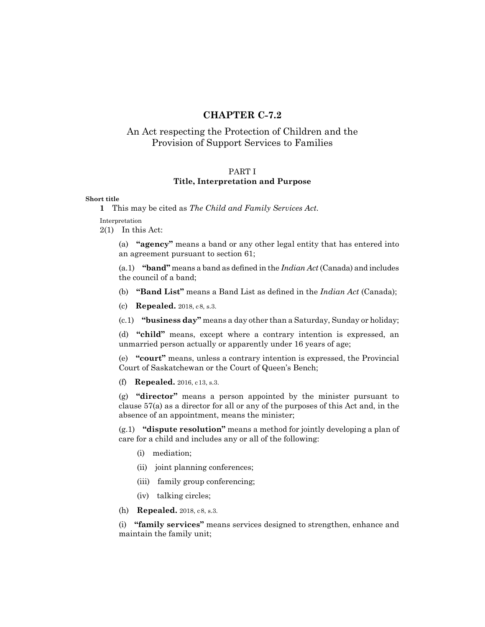## **CHAPTER C-7.2**

## An Act respecting the Protection of Children and the Provision of Support Services to Families

## PART I **Title, Interpretation and Purpose**

#### **Short title**

Interpretation

2(1) In this Act:

(a) **"agency"** means a band or any other legal entity that has entered into an agreement pursuant to section 61;

(a.1) **"band"** means a band as defined in the *Indian Act* (Canada) and includes the council of a band;

- (b) **"Band List"** means a Band List as defined in the *Indian Act* (Canada);
- (c) **Repealed.** 2018, c8, s.3.
- (c.1) **"business day"** means a day other than a Saturday, Sunday or holiday;

(d) **"child"** means, except where a contrary intention is expressed, an unmarried person actually or apparently under 16 years of age;

(e) **"court"** means, unless a contrary intention is expressed, the Provincial Court of Saskatchewan or the Court of Queen's Bench;

(f) **Repealed.** 2016, c13, s.3.

(g) **"director"** means a person appointed by the minister pursuant to clause 57(a) as a director for all or any of the purposes of this Act and, in the absence of an appointment, means the minister;

(g.1) **"dispute resolution"** means a method for jointly developing a plan of care for a child and includes any or all of the following:

- (i) mediation;
- (ii) joint planning conferences;
- (iii) family group conferencing;
- (iv) talking circles;
- (h) **Repealed.** 2018, c8, s.3.

(i) **"family services"** means services designed to strengthen, enhance and maintain the family unit;

**<sup>1</sup>** This may be cited as *The Child and Family Services Act.*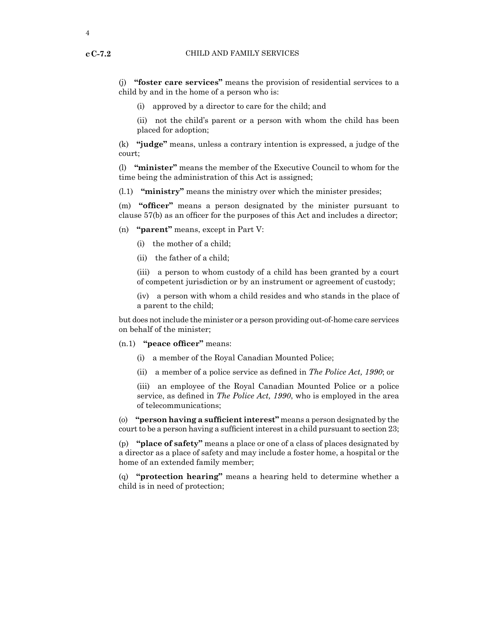(j) **"foster care services"** means the provision of residential services to a child by and in the home of a person who is:

(i) approved by a director to care for the child; and

(ii) not the child's parent or a person with whom the child has been placed for adoption;

(k) **"judge"** means, unless a contrary intention is expressed, a judge of the court;

(l) **"minister"** means the member of the Executive Council to whom for the time being the administration of this Act is assigned;

(l.1) **"ministry"** means the ministry over which the minister presides;

(m) **"officer"** means a person designated by the minister pursuant to clause 57(b) as an officer for the purposes of this Act and includes a director;

(n) **"parent"** means, except in Part V:

- (i) the mother of a child;
- (ii) the father of a child;

(iii) a person to whom custody of a child has been granted by a court of competent jurisdiction or by an instrument or agreement of custody;

(iv) a person with whom a child resides and who stands in the place of a parent to the child;

but does not include the minister or a person providing out-of-home care services on behalf of the minister;

#### (n.1) **"peace officer"** means:

- (i) a member of the Royal Canadian Mounted Police;
- (ii) a member of a police service as defined in *The Police Act, 1990*; or

(iii) an employee of the Royal Canadian Mounted Police or a police service, as defined in *The Police Act, 1990*, who is employed in the area of telecommunications;

(o) **"person having a sufficient interest"** means a person designated by the court to be a person having a sufficient interest in a child pursuant to section 23;

(p) **"place of safety"** means a place or one of a class of places designated by a director as a place of safety and may include a foster home, a hospital or the home of an extended family member;

(q) **"protection hearing"** means a hearing held to determine whether a child is in need of protection;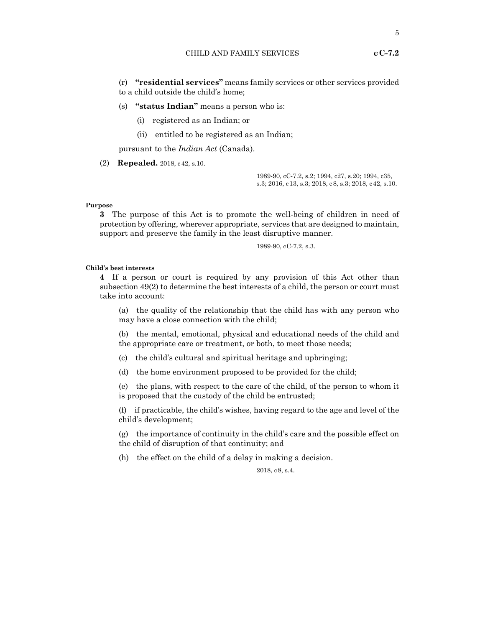(r) **"residential services"** means family services or other services provided to a child outside the child's home;

- (s) **"status Indian"** means a person who is:
	- (i) registered as an Indian; or
	- (ii) entitled to be registered as an Indian;

pursuant to the *Indian Act* (Canada).

(2) **Repealed.** 2018, c42, s.10.

1989-90, cC-7.2, s.2; 1994, c27, s.20; 1994, c35, s.3; 2016, c13, s.3; 2018, c8, s.3; 2018, c42, s.10.

#### **Purpose**

**3** The purpose of this Act is to promote the well-being of children in need of protection by offering, wherever appropriate, services that are designed to maintain, support and preserve the family in the least disruptive manner.

1989-90, cC-7.2, s.3.

#### **Child's best interests**

**4** If a person or court is required by any provision of this Act other than subsection 49(2) to determine the best interests of a child, the person or court must take into account:

(a) the quality of the relationship that the child has with any person who may have a close connection with the child;

(b) the mental, emotional, physical and educational needs of the child and the appropriate care or treatment, or both, to meet those needs;

(c) the child's cultural and spiritual heritage and upbringing;

(d) the home environment proposed to be provided for the child;

(e) the plans, with respect to the care of the child, of the person to whom it is proposed that the custody of the child be entrusted;

(f) if practicable, the child's wishes, having regard to the age and level of the child's development;

(g) the importance of continuity in the child's care and the possible effect on the child of disruption of that continuity; and

(h) the effect on the child of a delay in making a decision.

2018, c8, s.4.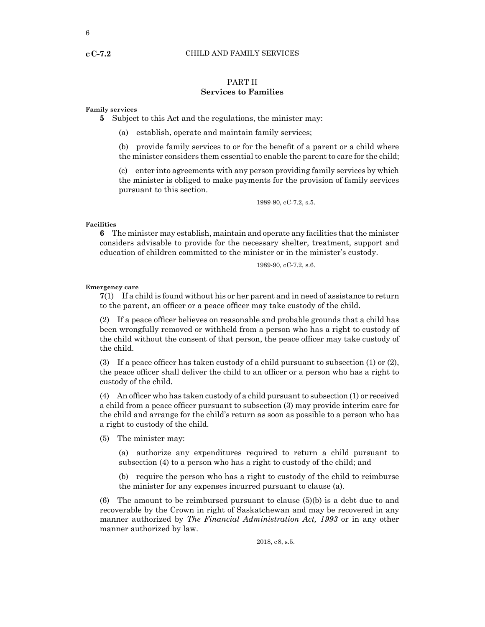## PART II **Services to Families**

#### **Family services**

**5** Subject to this Act and the regulations, the minister may:

(a) establish, operate and maintain family services;

(b) provide family services to or for the benefit of a parent or a child where the minister considers them essential to enable the parent to care for the child;

(c) enter into agreements with any person providing family services by which the minister is obliged to make payments for the provision of family services pursuant to this section.

1989-90, cC-7.2, s.5.

#### **Facilities**

**6** The minister may establish, maintain and operate any facilities that the minister considers advisable to provide for the necessary shelter, treatment, support and education of children committed to the minister or in the minister's custody.

1989-90, cC-7.2, s.6.

#### **Emergency care**

**7**(1) If a child is found without his or her parent and in need of assistance to return to the parent, an officer or a peace officer may take custody of the child.

(2) If a peace officer believes on reasonable and probable grounds that a child has been wrongfully removed or withheld from a person who has a right to custody of the child without the consent of that person, the peace officer may take custody of the child.

(3) If a peace officer has taken custody of a child pursuant to subsection (1) or (2), the peace officer shall deliver the child to an officer or a person who has a right to custody of the child.

(4) An officer who has taken custody of a child pursuantto subsection (1) or received a child from a peace officer pursuant to subsection (3) may provide interim care for the child and arrange for the child's return as soon as possible to a person who has a right to custody of the child.

(5) The minister may:

(a) authorize any expenditures required to return a child pursuant to subsection (4) to a person who has a right to custody of the child; and

(b) require the person who has a right to custody of the child to reimburse the minister for any expenses incurred pursuant to clause (a).

(6) The amount to be reimbursed pursuant to clause (5)(b) is a debt due to and recoverable by the Crown in right of Saskatchewan and may be recovered in any manner authorized by *The Financial Administration Act, 1993* or in any other manner authorized by law.

2018, c8, s.5.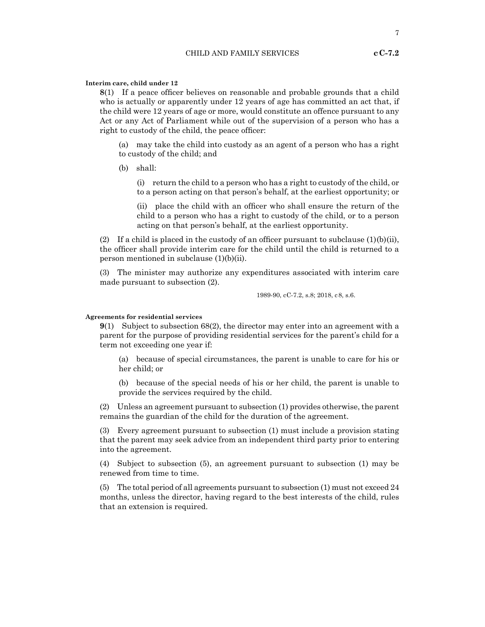#### **Interim care, child under 12**

**8**(1) If a peace officer believes on reasonable and probable grounds that a child who is actually or apparently under 12 years of age has committed an act that, if the child were 12 years of age or more, would constitute an offence pursuant to any Act or any Act of Parliament while out of the supervision of a person who has a right to custody of the child, the peace officer:

(a) may take the child into custody as an agent of a person who has a right to custody of the child; and

(b) shall:

(i) return the child to a person who has a right to custody of the child, or to a person acting on that person's behalf, at the earliest opportunity; or

(ii) place the child with an officer who shall ensure the return of the child to a person who has a right to custody of the child, or to a person acting on that person's behalf, at the earliest opportunity.

(2) If a child is placed in the custody of an officer pursuant to subclause  $(1)(b)(ii)$ , the officer shall provide interim care for the child until the child is returned to a person mentioned in subclause (1)(b)(ii).

(3) The minister may authorize any expenditures associated with interim care made pursuant to subsection (2).

1989-90, cC-7.2, s.8; 2018, c8, s.6.

#### **Agreements for residential services**

**9**(1) Subject to subsection 68(2), the director may enter into an agreement with a parent for the purpose of providing residential services for the parent's child for a term not exceeding one year if:

(a) because of special circumstances, the parent is unable to care for his or her child; or

(b) because of the special needs of his or her child, the parent is unable to provide the services required by the child.

(2) Unless an agreement pursuant to subsection (1) provides otherwise, the parent remains the guardian of the child for the duration of the agreement.

(3) Every agreement pursuant to subsection (1) must include a provision stating that the parent may seek advice from an independent third party prior to entering into the agreement.

(4) Subject to subsection (5), an agreement pursuant to subsection (1) may be renewed from time to time.

(5) The total period of all agreements pursuant to subsection (1) must not exceed 24 months, unless the director, having regard to the best interests of the child, rules that an extension is required.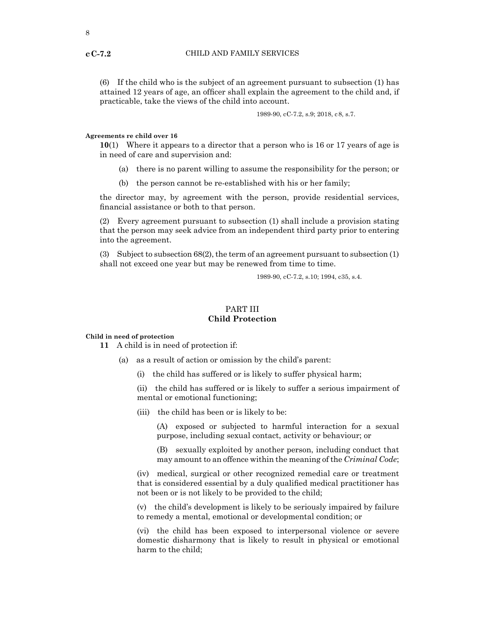(6) If the child who is the subject of an agreement pursuant to subsection (1) has attained 12 years of age, an officer shall explain the agreement to the child and, if practicable, take the views of the child into account.

1989-90, cC-7.2, s.9; 2018, c8, s.7.

#### **Agreements re child over 16**

**10**(1) Where it appears to a director that a person who is 16 or 17 years of age is in need of care and supervision and:

- (a) there is no parent willing to assume the responsibility for the person; or
- (b) the person cannot be re-established with his or her family;

the director may, by agreement with the person, provide residential services, financial assistance or both to that person.

(2) Every agreement pursuant to subsection (1) shall include a provision stating that the person may seek advice from an independent third party prior to entering into the agreement.

(3) Subject to subsection 68(2), the term of an agreement pursuant to subsection (1) shall not exceed one year but may be renewed from time to time.

1989-90, cC-7.2, s.10; 1994, c35, s.4.

## PART III **Child Protection**

#### **Child in need of protection**

**11** A child is in need of protection if:

- (a) as a result of action or omission by the child's parent:
	- (i) the child has suffered or is likely to suffer physical harm;

(ii) the child has suffered or is likely to suffer a serious impairment of mental or emotional functioning;

(iii) the child has been or is likely to be:

(A) exposed or subjected to harmful interaction for a sexual purpose, including sexual contact, activity or behaviour; or

(B) sexually exploited by another person, including conduct that may amount to an offence within the meaning of the *Criminal Code*;

(iv) medical, surgical or other recognized remedial care or treatment that is considered essential by a duly qualified medical practitioner has not been or is not likely to be provided to the child;

(v) the child's development is likely to be seriously impaired by failure to remedy a mental, emotional or developmental condition; or

(vi) the child has been exposed to interpersonal violence or severe domestic disharmony that is likely to result in physical or emotional harm to the child;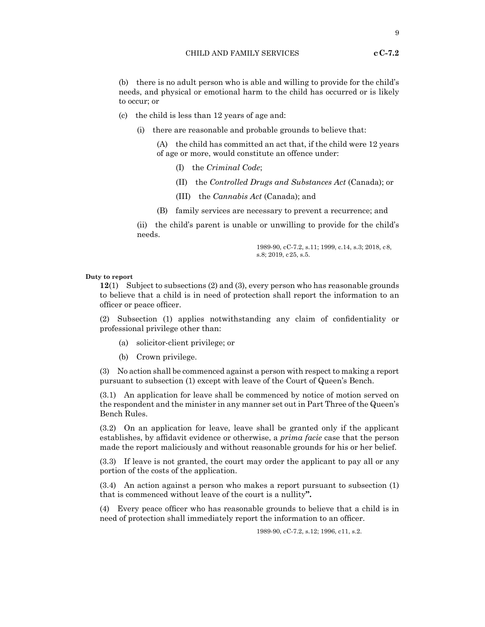(b) there is no adult person who is able and willing to provide for the child's needs, and physical or emotional harm to the child has occurred or is likely to occur; or

- (c) the child is less than 12 years of age and:
	- (i) there are reasonable and probable grounds to believe that:

(A) the child has committed an act that, if the child were 12 years of age or more, would constitute an offence under:

- (I) the *Criminal Code*;
- (II) the *Controlled Drugs and Substances Act* (Canada); or
- (III) the *Cannabis Act* (Canada); and
- (B) family services are necessary to prevent a recurrence; and

(ii) the child's parent is unable or unwilling to provide for the child's needs.

> 1989-90, cC-7.2, s.11; 1999, c.14, s.3; 2018, c8, s.8; 2019, c25, s.5.

#### **Duty to report**

**12**(1) Subject to subsections (2) and (3), every person who has reasonable grounds to believe that a child is in need of protection shall report the information to an officer or peace officer.

(2) Subsection (1) applies notwithstanding any claim of confidentiality or professional privilege other than:

- (a) solicitor-client privilege; or
- (b) Crown privilege.

(3) No action shall be commenced against a person with respect to making a report pursuant to subsection (1) except with leave of the Court of Queen's Bench.

(3.1) An application for leave shall be commenced by notice of motion served on the respondent and the minister in any manner set out in Part Three of the Queen's Bench Rules.

(3.2) On an application for leave, leave shall be granted only if the applicant establishes, by affidavit evidence or otherwise, a *prima facie* case that the person made the report maliciously and without reasonable grounds for his or her belief.

(3.3) If leave is not granted, the court may order the applicant to pay all or any portion of the costs of the application.

(3.4) An action against a person who makes a report pursuant to subsection (1) that is commenced without leave of the court is a nullity**".**

(4) Every peace officer who has reasonable grounds to believe that a child is in need of protection shall immediately report the information to an officer.

1989-90, cC-7.2, s.12; 1996, c11, s.2.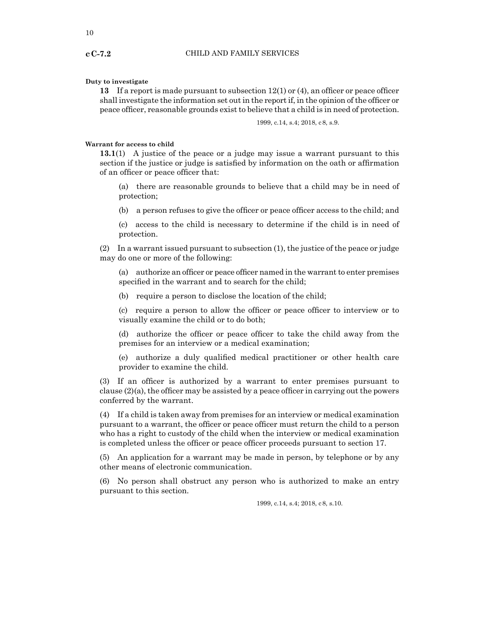#### **Duty to investigate**

**13** If a report is made pursuant to subsection 12(1) or (4), an officer or peace officer shall investigate the information set out in the report if, in the opinion of the officer or peace officer, reasonable grounds exist to believe that a child is in need of protection.

1999, c.14, s.4; 2018, c8, s.9.

#### **Warrant for access to child**

**13.1**(1) A justice of the peace or a judge may issue a warrant pursuant to this section if the justice or judge is satisfied by information on the oath or affirmation of an officer or peace officer that:

(a) there are reasonable grounds to believe that a child may be in need of protection;

(b) a person refuses to give the officer or peace officer access to the child; and

(c) access to the child is necessary to determine if the child is in need of protection.

(2) In a warrant issued pursuant to subsection (1), the justice of the peace or judge may do one or more of the following:

(a) authorize an officer or peace officer named in the warrant to enter premises specified in the warrant and to search for the child;

(b) require a person to disclose the location of the child;

(c) require a person to allow the officer or peace officer to interview or to visually examine the child or to do both;

(d) authorize the officer or peace officer to take the child away from the premises for an interview or a medical examination;

(e) authorize a duly qualified medical practitioner or other health care provider to examine the child.

(3) If an officer is authorized by a warrant to enter premises pursuant to clause (2)(a), the officer may be assisted by a peace officer in carrying out the powers conferred by the warrant.

(4) If a child is taken away from premises for an interview or medical examination pursuant to a warrant, the officer or peace officer must return the child to a person who has a right to custody of the child when the interview or medical examination is completed unless the officer or peace officer proceeds pursuant to section 17.

(5) An application for a warrant may be made in person, by telephone or by any other means of electronic communication.

(6) No person shall obstruct any person who is authorized to make an entry pursuant to this section.

1999, c.14, s.4; 2018, c8, s.10.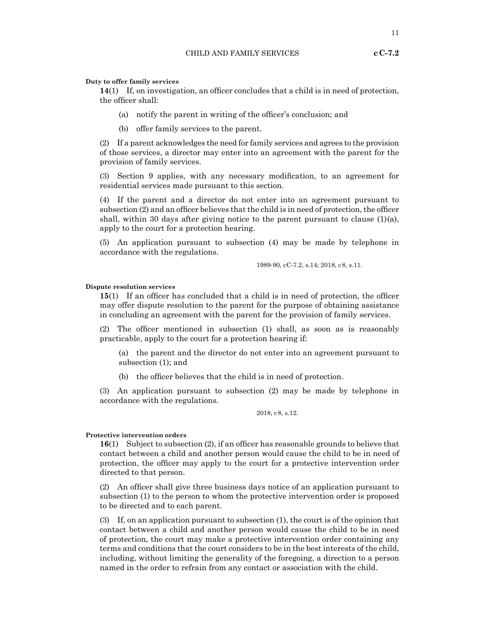#### **Duty to offer family services**

**14**(1) If, on investigation, an officer concludes that a child is in need of protection, the officer shall:

- (a) notify the parent in writing of the officer's conclusion; and
- (b) offer family services to the parent.

(2) If a parent acknowledges the need for family services and agrees to the provision of those services, a director may enter into an agreement with the parent for the provision of family services.

(3) Section 9 applies, with any necessary modification, to an agreement for residential services made pursuant to this section.

(4) If the parent and a director do not enter into an agreement pursuant to subsection (2) and an officer believes that the child is in need of protection, the officer shall, within 30 days after giving notice to the parent pursuant to clause  $(1)(a)$ , apply to the court for a protection hearing.

(5) An application pursuant to subsection (4) may be made by telephone in accordance with the regulations.

1989-90, cC-7.2, s.14; 2018, c8, s.11.

#### **Dispute resolution services**

**15**(1) If an officer has concluded that a child is in need of protection, the officer may offer dispute resolution to the parent for the purpose of obtaining assistance in concluding an agreement with the parent for the provision of family services.

(2) The officer mentioned in subsection (1) shall, as soon as is reasonably practicable, apply to the court for a protection hearing if:

(a) the parent and the director do not enter into an agreement pursuant to subsection (1); and

(b) the officer believes that the child is in need of protection.

(3) An application pursuant to subsection (2) may be made by telephone in accordance with the regulations.

2018, c8, s.12.

#### **Protective intervention orders**

**16**(1) Subject to subsection (2), if an officer has reasonable grounds to believe that contact between a child and another person would cause the child to be in need of protection, the officer may apply to the court for a protective intervention order directed to that person.

(2) An officer shall give three business days notice of an application pursuant to subsection (1) to the person to whom the protective intervention order is proposed to be directed and to each parent.

(3) If, on an application pursuant to subsection (1), the court is of the opinion that contact between a child and another person would cause the child to be in need of protection, the court may make a protective intervention order containing any terms and conditions that the court considers to be in the best interests of the child, including, without limiting the generality of the foregoing, a direction to a person named in the order to refrain from any contact or association with the child.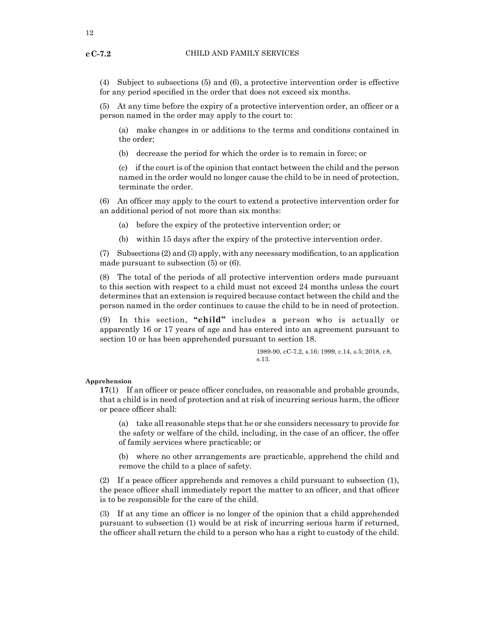(4) Subject to subsections (5) and (6), a protective intervention order is effective for any period specified in the order that does not exceed six months.

(5) At any time before the expiry of a protective intervention order, an officer or a person named in the order may apply to the court to:

(a) make changes in or additions to the terms and conditions contained in the order;

(b) decrease the period for which the order is to remain in force; or

(c) if the court is of the opinion that contact between the child and the person named in the order would no longer cause the child to be in need of protection, terminate the order.

(6) An officer may apply to the court to extend a protective intervention order for an additional period of not more than six months:

(a) before the expiry of the protective intervention order; or

(b) within 15 days after the expiry of the protective intervention order.

 $(7)$  Subsections  $(2)$  and  $(3)$  apply, with any necessary modification, to an application made pursuant to subsection (5) or (6).

(8) The total of the periods of all protective intervention orders made pursuant to this section with respect to a child must not exceed 24 months unless the court determines that an extension is required because contact between the child and the person named in the order continues to cause the child to be in need of protection.

(9) In this section, **"child"** includes a person who is actually or apparently 16 or 17 years of age and has entered into an agreement pursuant to section 10 or has been apprehended pursuant to section 18.

> 1989-90, cC-7.2, s.16; 1999, c.14, s.5; 2018, c8, s.13.

#### **Apprehension**

**17**(1) If an officer or peace officer concludes, on reasonable and probable grounds, that a child is in need of protection and at risk of incurring serious harm, the officer or peace officer shall:

(a) take all reasonable steps that he or she considers necessary to provide for the safety or welfare of the child, including, in the case of an officer, the offer of family services where practicable; or

(b) where no other arrangements are practicable, apprehend the child and remove the child to a place of safety.

(2) If a peace officer apprehends and removes a child pursuant to subsection (1), the peace officer shall immediately report the matter to an officer, and that officer is to be responsible for the care of the child.

(3) If at any time an officer is no longer of the opinion that a child apprehended pursuant to subsection (1) would be at risk of incurring serious harm if returned, the officer shall return the child to a person who has a right to custody of the child.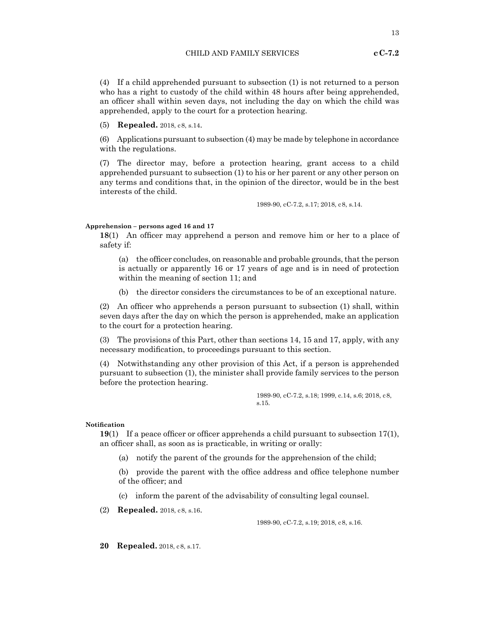(4) If a child apprehended pursuant to subsection (1) is not returned to a person who has a right to custody of the child within 48 hours after being apprehended, an officer shall within seven days, not including the day on which the child was apprehended, apply to the court for a protection hearing.

(5) **Repealed.** 2018, c8, s.14.

(6) Applications pursuant to subsection (4) may be made by telephone in accordance with the regulations.

(7) The director may, before a protection hearing, grant access to a child apprehended pursuant to subsection (1) to his or her parent or any other person on any terms and conditions that, in the opinion of the director, would be in the best interests of the child.

1989-90, cC-7.2, s.17; 2018, c8, s.14.

#### **Apprehension – persons aged 16 and 17**

**18**(1) An officer may apprehend a person and remove him or her to a place of safety if:

(a) the officer concludes, on reasonable and probable grounds, that the person is actually or apparently 16 or 17 years of age and is in need of protection within the meaning of section 11; and

(b) the director considers the circumstances to be of an exceptional nature.

(2) An officer who apprehends a person pursuant to subsection (1) shall, within seven days after the day on which the person is apprehended, make an application to the court for a protection hearing.

(3) The provisions of this Part, other than sections 14, 15 and 17, apply, with any necessary modification, to proceedings pursuant to this section.

(4) Notwithstanding any other provision of this Act, if a person is apprehended pursuant to subsection (1), the minister shall provide family services to the person before the protection hearing.

> 1989-90, cC-7.2, s.18; 1999, c.14, s.6; 2018, c8, s.15.

#### **Notification**

**19**(1) If a peace officer or officer apprehends a child pursuant to subsection 17(1), an officer shall, as soon as is practicable, in writing or orally:

(a) notify the parent of the grounds for the apprehension of the child;

(b) provide the parent with the office address and office telephone number of the officer; and

(c) inform the parent of the advisability of consulting legal counsel.

(2) **Repealed.** 2018, c8, s.16.

1989-90, cC-7.2, s.19; 2018, c8, s.16.

**20 Repealed.** 2018, c8, s.17.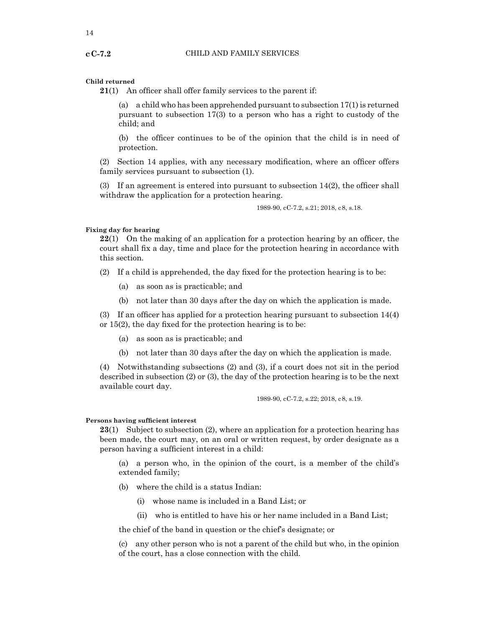#### **Child returned**

**21**(1) An officer shall offer family services to the parent if:

(a) a child who has been apprehended pursuant to subsection 17(1) is returned pursuant to subsection 17(3) to a person who has a right to custody of the child; and

(b) the officer continues to be of the opinion that the child is in need of protection.

(2) Section 14 applies, with any necessary modification, where an officer offers family services pursuant to subsection (1).

(3) If an agreement is entered into pursuant to subsection 14(2), the officer shall withdraw the application for a protection hearing.

1989-90, cC-7.2, s.21; 2018, c8, s.18.

#### **Fixing day for hearing**

**22**(1) On the making of an application for a protection hearing by an officer, the court shall fix a day, time and place for the protection hearing in accordance with this section.

(2) If a child is apprehended, the day fixed for the protection hearing is to be:

- (a) as soon as is practicable; and
- (b) not later than 30 days after the day on which the application is made.

(3) If an officer has applied for a protection hearing pursuant to subsection 14(4) or 15(2), the day fixed for the protection hearing is to be:

- (a) as soon as is practicable; and
- (b) not later than 30 days after the day on which the application is made.

(4) Notwithstanding subsections (2) and (3), if a court does not sit in the period described in subsection (2) or (3), the day of the protection hearing is to be the next available court day.

1989-90, cC-7.2, s.22; 2018, c8, s.19.

#### **Persons having sufficient interest**

**23**(1) Subject to subsection (2), where an application for a protection hearing has been made, the court may, on an oral or written request, by order designate as a person having a sufficient interest in a child:

(a) a person who, in the opinion of the court, is a member of the child's extended family;

- (b) where the child is a status Indian:
	- (i) whose name is included in a Band List; or
	- (ii) who is entitled to have his or her name included in a Band List;

the chief of the band in question or the chief's designate; or

(c) any other person who is not a parent of the child but who, in the opinion of the court, has a close connection with the child.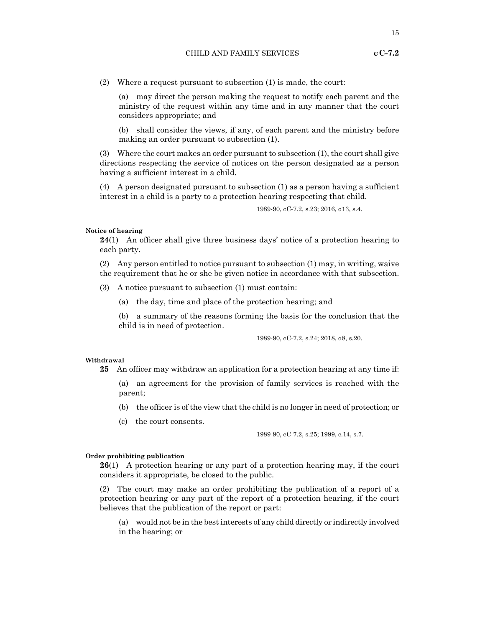(2) Where a request pursuant to subsection (1) is made, the court:

(a) may direct the person making the request to notify each parent and the ministry of the request within any time and in any manner that the court considers appropriate; and

(b) shall consider the views, if any, of each parent and the ministry before making an order pursuant to subsection (1).

(3) Where the court makes an order pursuant to subsection (1), the court shall give directions respecting the service of notices on the person designated as a person having a sufficient interest in a child.

(4) A person designated pursuant to subsection (1) as a person having a sufficient interest in a child is a party to a protection hearing respecting that child.

1989-90, cC-7.2, s.23; 2016, c13, s.4.

#### **Notice of hearing**

**24**(1) An officer shall give three business days' notice of a protection hearing to each party.

(2) Any person entitled to notice pursuant to subsection (1) may, in writing, waive the requirement that he or she be given notice in accordance with that subsection.

(3) A notice pursuant to subsection (1) must contain:

(a) the day, time and place of the protection hearing; and

(b) a summary of the reasons forming the basis for the conclusion that the child is in need of protection.

1989-90, cC-7.2, s.24; 2018, c8, s.20.

#### **Withdrawal**

**25** An officer may withdraw an application for a protection hearing at any time if:

(a) an agreement for the provision of family services is reached with the parent;

- (b) the officer is of the view that the child is no longer in need of protection; or
- (c) the court consents.

1989-90, cC-7.2, s.25; 1999, c.14, s.7.

#### **Order prohibiting publication**

**26**(1) A protection hearing or any part of a protection hearing may, if the court considers it appropriate, be closed to the public.

(2) The court may make an order prohibiting the publication of a report of a protection hearing or any part of the report of a protection hearing, if the court believes that the publication of the report or part:

(a) would not be in the best interests of any child directly or indirectly involved in the hearing; or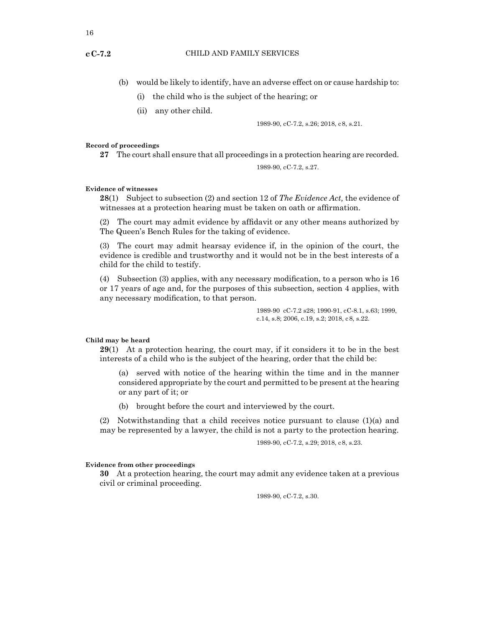- (b) would be likely to identify, have an adverse effect on or cause hardship to:
	- (i) the child who is the subject of the hearing; or
	- (ii) any other child.

1989-90, cC-7.2, s.26; 2018, c8, s.21.

#### **Record of proceedings**

**27** The court shall ensure that all proceedings in a protection hearing are recorded.

1989-90, cC-7.2, s.27.

#### **Evidence of witnesses**

**28**(1) Subject to subsection (2) and section 12 of *The Evidence Act,* the evidence of witnesses at a protection hearing must be taken on oath or affirmation.

(2) The court may admit evidence by affidavit or any other means authorized by The Queen's Bench Rules for the taking of evidence.

(3) The court may admit hearsay evidence if, in the opinion of the court, the evidence is credible and trustworthy and it would not be in the best interests of a child for the child to testify.

(4) Subsection (3) applies, with any necessary modification, to a person who is 16 or 17 years of age and, for the purposes of this subsection, section 4 applies, with any necessary modification, to that person.

> 1989-90 cC-7.2 s28; 1990-91, cC-8.1, s.63; 1999, c.14, s.8; 2006, c.19, s.2; 2018, c8, s.22.

#### **Child may be heard**

**29**(1) At a protection hearing, the court may, if it considers it to be in the best interests of a child who is the subject of the hearing, order that the child be:

(a) served with notice of the hearing within the time and in the manner considered appropriate by the court and permitted to be present at the hearing or any part of it; or

(b) brought before the court and interviewed by the court.

(2) Notwithstanding that a child receives notice pursuant to clause (1)(a) and may be represented by a lawyer, the child is not a party to the protection hearing.

1989-90, cC-7.2, s.29; 2018, c8, s.23.

#### **Evidence from other proceedings**

**30** At a protection hearing, the court may admit any evidence taken at a previous civil or criminal proceeding.

1989-90, cC-7.2, s.30.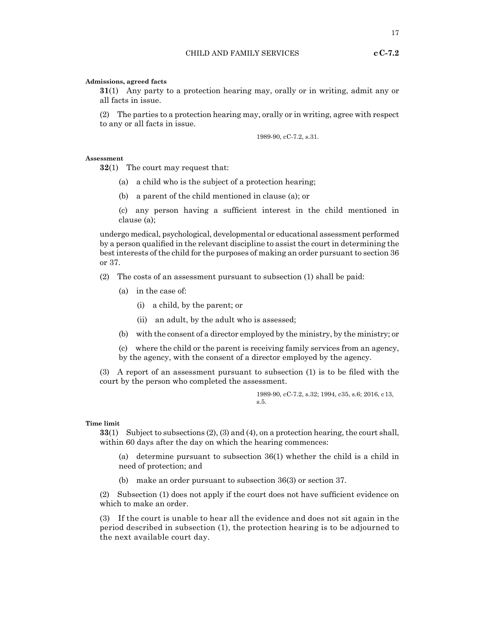**31**(1) Any party to a protection hearing may, orally or in writing, admit any or all facts in issue.

(2) The parties to a protection hearing may, orally or in writing, agree with respect to any or all facts in issue.

1989-90, cC-7.2, s.31.

#### **Assessment**

**32**(1) The court may request that:

- (a) a child who is the subject of a protection hearing;
- (b) a parent of the child mentioned in clause (a); or
- (c) any person having a sufficient interest in the child mentioned in clause (a);

undergo medical, psychological, developmental or educational assessment performed by a person qualified in the relevant discipline to assist the court in determining the best interests of the child for the purposes of making an order pursuant to section 36 or 37.

- (2) The costs of an assessment pursuant to subsection (1) shall be paid:
	- (a) in the case of:
		- (i) a child, by the parent; or
		- (ii) an adult, by the adult who is assessed;
	- (b) with the consent of a director employed by the ministry, by the ministry; or

(c) where the child or the parent is receiving family services from an agency, by the agency, with the consent of a director employed by the agency.

(3) A report of an assessment pursuant to subsection (1) is to be filed with the court by the person who completed the assessment.

> 1989-90, cC-7.2, s.32; 1994, c35, s.6; 2016, c13, s.5.

#### **Time limit**

**33**(1) Subject to subsections (2), (3) and (4), on a protection hearing, the court shall, within 60 days after the day on which the hearing commences:

(a) determine pursuant to subsection 36(1) whether the child is a child in need of protection; and

(b) make an order pursuant to subsection 36(3) or section 37.

(2) Subsection (1) does not apply if the court does not have sufficient evidence on which to make an order.

(3) If the court is unable to hear all the evidence and does not sit again in the period described in subsection (1), the protection hearing is to be adjourned to the next available court day.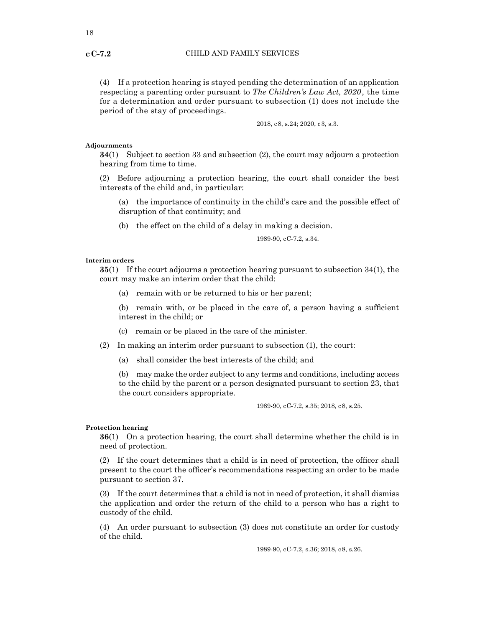(4) If a protection hearing is stayed pending the determination of an application respecting a parenting order pursuant to *The Children's Law Act, 2020*, the time for a determination and order pursuant to subsection (1) does not include the period of the stay of proceedings.

2018, c8, s.24; 2020, c3, s.3.

#### **Adjournments**

**34**(1) Subject to section 33 and subsection (2), the court may adjourn a protection hearing from time to time.

(2) Before adjourning a protection hearing, the court shall consider the best interests of the child and, in particular:

(a) the importance of continuity in the child's care and the possible effect of disruption of that continuity; and

(b) the effect on the child of a delay in making a decision.

1989-90, cC-7.2, s.34.

#### **Interim orders**

**35**(1) If the court adjourns a protection hearing pursuant to subsection 34(1), the court may make an interim order that the child:

(a) remain with or be returned to his or her parent;

(b) remain with, or be placed in the care of, a person having a sufficient interest in the child; or

(c) remain or be placed in the care of the minister.

(2) In making an interim order pursuant to subsection (1), the court:

(a) shall consider the best interests of the child; and

(b) may make the order subject to any terms and conditions, including access to the child by the parent or a person designated pursuant to section 23, that the court considers appropriate.

1989-90, cC-7.2, s.35; 2018, c8, s.25.

#### **Protection hearing**

**36**(1) On a protection hearing, the court shall determine whether the child is in need of protection.

(2) If the court determines that a child is in need of protection, the officer shall present to the court the officer's recommendations respecting an order to be made pursuant to section 37.

(3) If the court determines that a child is not in need of protection, it shall dismiss the application and order the return of the child to a person who has a right to custody of the child.

(4) An order pursuant to subsection (3) does not constitute an order for custody of the child.

1989-90, cC-7.2, s.36; 2018, c8, s.26.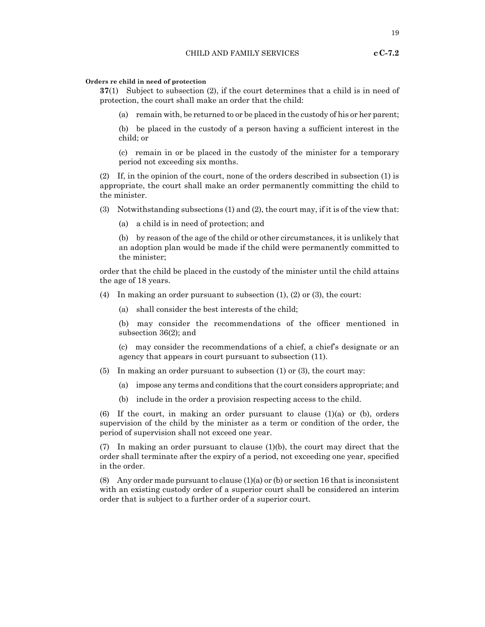#### **Orders re child in need of protection**

**37**(1) Subject to subsection (2), if the court determines that a child is in need of protection, the court shall make an order that the child:

(a) remain with, be returned to or be placed in the custody of his or her parent;

(b) be placed in the custody of a person having a sufficient interest in the child; or

(c) remain in or be placed in the custody of the minister for a temporary period not exceeding six months.

(2) If, in the opinion of the court, none of the orders described in subsection (1) is appropriate, the court shall make an order permanently committing the child to the minister.

(3) Notwithstanding subsections (1) and (2), the court may, if it is of the view that:

(a) a child is in need of protection; and

(b) by reason of the age of the child or other circumstances, it is unlikely that an adoption plan would be made if the child were permanently committed to the minister;

order that the child be placed in the custody of the minister until the child attains the age of 18 years.

(4) In making an order pursuant to subsection (1), (2) or (3), the court:

(a) shall consider the best interests of the child;

(b) may consider the recommendations of the officer mentioned in subsection 36(2); and

(c) may consider the recommendations of a chief, a chief's designate or an agency that appears in court pursuant to subsection (11).

- (5) In making an order pursuant to subsection (1) or (3), the court may:
	- (a) impose any terms and conditions that the court considers appropriate; and
	- (b) include in the order a provision respecting access to the child.

(6) If the court, in making an order pursuant to clause  $(1)(a)$  or (b), orders supervision of the child by the minister as a term or condition of the order, the period of supervision shall not exceed one year.

(7) In making an order pursuant to clause (1)(b), the court may direct that the order shall terminate after the expiry of a period, not exceeding one year, specified in the order.

(8) Any order made pursuant to clause  $(1)(a)$  or (b) or section 16 that is inconsistent with an existing custody order of a superior court shall be considered an interim order that is subject to a further order of a superior court.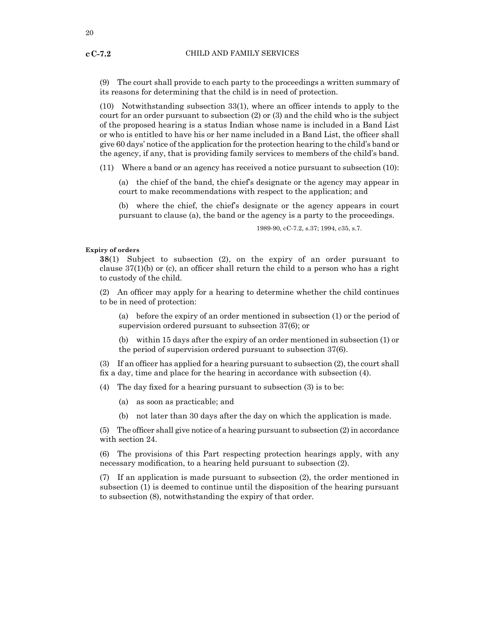(9) The court shall provide to each party to the proceedings a written summary of its reasons for determining that the child is in need of protection.

(10) Notwithstanding subsection 33(1), where an officer intends to apply to the court for an order pursuant to subsection (2) or (3) and the child who is the subject of the proposed hearing is a status Indian whose name is included in a Band List or who is entitled to have his or her name included in a Band List, the officer shall give 60 days' notice of the application for the protection hearing to the child's band or the agency, if any, that is providing family services to members of the child's band.

(11) Where a band or an agency has received a notice pursuant to subsection (10):

(a) the chief of the band, the chief's designate or the agency may appear in court to make recommendations with respect to the application; and

(b) where the chief, the chief's designate or the agency appears in court pursuant to clause (a), the band or the agency is a party to the proceedings.

1989-90, cC-7.2, s.37; 1994, c35, s.7.

#### **Expiry of orders**

**38**(1) Subject to subsection (2), on the expiry of an order pursuant to clause  $37(1)(b)$  or (c), an officer shall return the child to a person who has a right to custody of the child.

(2) An officer may apply for a hearing to determine whether the child continues to be in need of protection:

(a) before the expiry of an order mentioned in subsection (1) or the period of supervision ordered pursuant to subsection 37(6); or

(b) within 15 days after the expiry of an order mentioned in subsection (1) or the period of supervision ordered pursuant to subsection 37(6).

(3) If an officer has applied for a hearing pursuant to subsection (2), the court shall fix a day, time and place for the hearing in accordance with subsection (4).

(4) The day fixed for a hearing pursuant to subsection (3) is to be:

- (a) as soon as practicable; and
- (b) not later than 30 days after the day on which the application is made.

 $(5)$  The officer shall give notice of a hearing pursuant to subsection  $(2)$  in accordance with section 24.

(6) The provisions of this Part respecting protection hearings apply, with any necessary modification, to a hearing held pursuant to subsection (2).

(7) If an application is made pursuant to subsection (2), the order mentioned in subsection (1) is deemed to continue until the disposition of the hearing pursuant to subsection (8), notwithstanding the expiry of that order.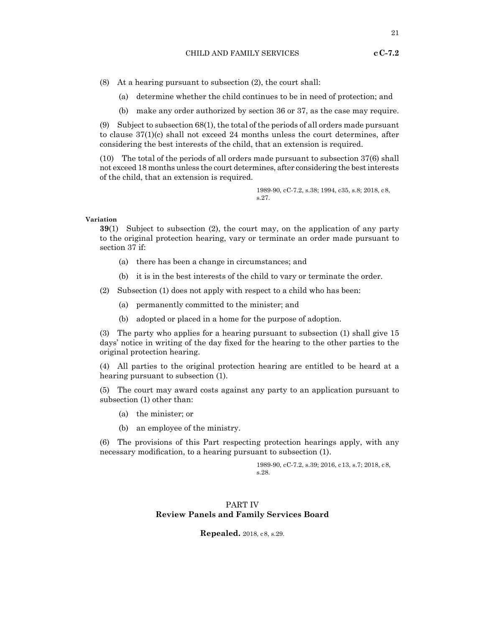(8) At a hearing pursuant to subsection (2), the court shall:

- (a) determine whether the child continues to be in need of protection; and
- (b) make any order authorized by section 36 or 37, as the case may require.

(9) Subject to subsection 68(1), the total of the periods of all orders made pursuant to clause 37(1)(c) shall not exceed 24 months unless the court determines, after considering the best interests of the child, that an extension is required.

(10) The total of the periods of all orders made pursuant to subsection 37(6) shall not exceed 18 months unless the court determines, after considering the best interests of the child, that an extension is required.

> 1989-90, cC-7.2, s.38; 1994, c35, s.8; 2018, c8, s.27.

#### **Variation**

**39**(1) Subject to subsection (2), the court may, on the application of any party to the original protection hearing, vary or terminate an order made pursuant to section 37 if:

- (a) there has been a change in circumstances; and
- (b) it is in the best interests of the child to vary or terminate the order.

(2) Subsection (1) does not apply with respect to a child who has been:

- (a) permanently committed to the minister; and
- (b) adopted or placed in a home for the purpose of adoption.

(3) The party who applies for a hearing pursuant to subsection (1) shall give 15 days' notice in writing of the day fixed for the hearing to the other parties to the original protection hearing.

(4) All parties to the original protection hearing are entitled to be heard at a hearing pursuant to subsection (1).

(5) The court may award costs against any party to an application pursuant to subsection (1) other than:

- (a) the minister; or
- (b) an employee of the ministry.

(6) The provisions of this Part respecting protection hearings apply, with any necessary modification, to a hearing pursuant to subsection (1).

> 1989-90, cC-7.2, s.39; 2016, c13, s.7; 2018, c8, s.28.

## PART IV **Review Panels and Family Services Board**

**Repealed.** 2018, c8, s.29.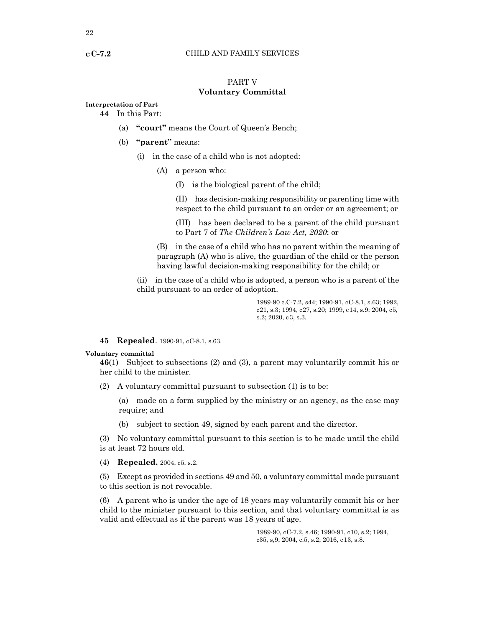## PART V **Voluntary Committal**

#### **Interpretation of Part 44** In this Part:

- (a) **"court"** means the Court of Queen's Bench;
- (b) **"parent"** means:
	- (i) in the case of a child who is not adopted:
		- (A) a person who:
			- (I) is the biological parent of the child;

(II) has decision-making responsibility or parenting time with respect to the child pursuant to an order or an agreement; or

(III) has been declared to be a parent of the child pursuant to Part 7 of *The Children's Law Act, 2020*; or

(B) in the case of a child who has no parent within the meaning of paragraph (A) who is alive, the guardian of the child or the person having lawful decision-making responsibility for the child; or

(ii) in the case of a child who is adopted, a person who is a parent of the child pursuant to an order of adoption.

> 1989-90 c.C-7.2, s44; 1990-91, cC-8.1, s.63; 1992, c21, s.3; 1994, c27, s.20; 1999, c 14, s.9; 2004, c5, s.2; 2020, c3, s.3.

**45 Repealed**. 1990-91, cC-8.1, s.63.

#### **Voluntary committal**

**46**(1) Subject to subsections (2) and (3), a parent may voluntarily commit his or her child to the minister.

(2) A voluntary committal pursuant to subsection (1) is to be:

(a) made on a form supplied by the ministry or an agency, as the case may require; and

(b) subject to section 49, signed by each parent and the director.

(3) No voluntary committal pursuant to this section is to be made until the child is at least 72 hours old.

(4) **Repealed.** 2004, c5, s.2.

(5) Except as provided in sections 49 and 50, a voluntary committal made pursuant to this section is not revocable.

(6) A parent who is under the age of 18 years may voluntarily commit his or her child to the minister pursuant to this section, and that voluntary committal is as valid and effectual as if the parent was 18 years of age.

> 1989-90, cC-7.2, s.46; 1990-91, c10, s.2; 1994, c35, s,9; 2004, c.5, s.2; 2016, c13, s.8.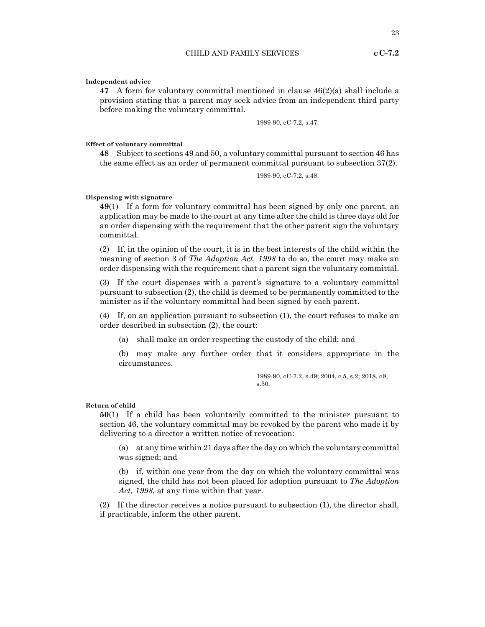**cC-7.2** 

**Independent advice**

**47** A form for voluntary committal mentioned in clause 46(2)(a) shall include a provision stating that a parent may seek advice from an independent third party before making the voluntary committal.

1989-90, cC-7.2, s.47.

#### **Effect of voluntary committal**

**48** Subject to sections 49 and 50, a voluntary committal pursuant to section 46 has the same effect as an order of permanent committal pursuant to subsection 37(2).

1989-90, cC-7.2, s.48.

#### **Dispensing with signature**

**49**(1) If a form for voluntary committal has been signed by only one parent, an application may be made to the court at any time after the child is three days old for an order dispensing with the requirement that the other parent sign the voluntary committal.

(2) If, in the opinion of the court, it is in the best interests of the child within the meaning of section 3 of *The Adoption Act, 1998* to do so, the court may make an order dispensing with the requirement that a parent sign the voluntary committal.

(3) If the court dispenses with a parent's signature to a voluntary committal pursuant to subsection (2), the child is deemed to be permanently committed to the minister as if the voluntary committal had been signed by each parent.

(4) If, on an application pursuant to subsection (1), the court refuses to make an order described in subsection (2), the court:

(a) shall make an order respecting the custody of the child; and

(b) may make any further order that it considers appropriate in the circumstances.

> 1989-90, cC-7.2, s.49; 2004, c.5, s.2; 2018, c8, s.30.

#### **Return of child**

**50**(1) If a child has been voluntarily committed to the minister pursuant to section 46, the voluntary committal may be revoked by the parent who made it by delivering to a director a written notice of revocation:

(a) at any time within 21 days after the day on which the voluntary committal was signed; and

(b) if, within one year from the day on which the voluntary committal was signed, the child has not been placed for adoption pursuant to *The Adoption Act, 1998*, at any time within that year.

(2) If the director receives a notice pursuant to subsection (1), the director shall, if practicable, inform the other parent.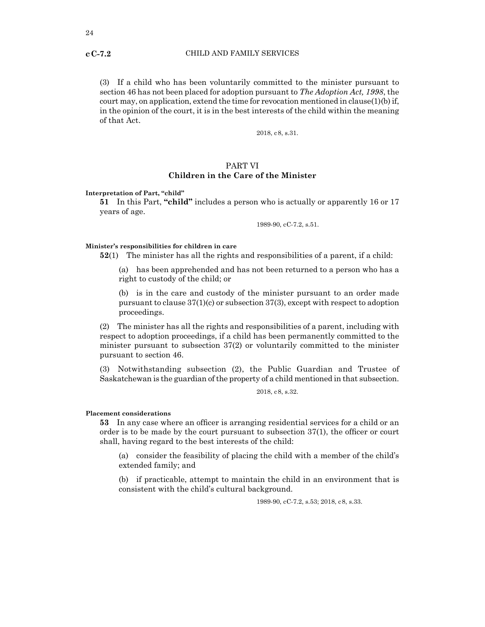(3) If a child who has been voluntarily committed to the minister pursuant to section 46 has not been placed for adoption pursuant to *The Adoption Act, 1998*, the court may, on application, extend the time for revocation mentioned in clause $(1)(b)$  if, in the opinion of the court, it is in the best interests of the child within the meaning of that Act.

2018, c8, s.31.

## PART VI

#### **Children in the Care of the Minister**

**Interpretation of Part, "child"**

**51** In this Part, **"child"** includes a person who is actually or apparently 16 or 17 years of age.

1989-90, cC-7.2, s.51.

#### **Minister's responsibilities for children in care**

**52**(1) The minister has all the rights and responsibilities of a parent, if a child:

(a) has been apprehended and has not been returned to a person who has a right to custody of the child; or

(b) is in the care and custody of the minister pursuant to an order made pursuant to clause  $37(1)(c)$  or subsection  $37(3)$ , except with respect to adoption proceedings.

(2) The minister has all the rights and responsibilities of a parent, including with respect to adoption proceedings, if a child has been permanently committed to the minister pursuant to subsection 37(2) or voluntarily committed to the minister pursuant to section 46.

(3) Notwithstanding subsection (2), the Public Guardian and Trustee of Saskatchewan is the guardian of the property of a child mentioned in that subsection.

2018, c8, s.32.

#### **Placement considerations**

**53** In any case where an officer is arranging residential services for a child or an order is to be made by the court pursuant to subsection 37(1), the officer or court shall, having regard to the best interests of the child:

(a) consider the feasibility of placing the child with a member of the child's extended family; and

(b) if practicable, attempt to maintain the child in an environment that is consistent with the child's cultural background.

1989-90, cC-7.2, s.53; 2018, c8, s.33.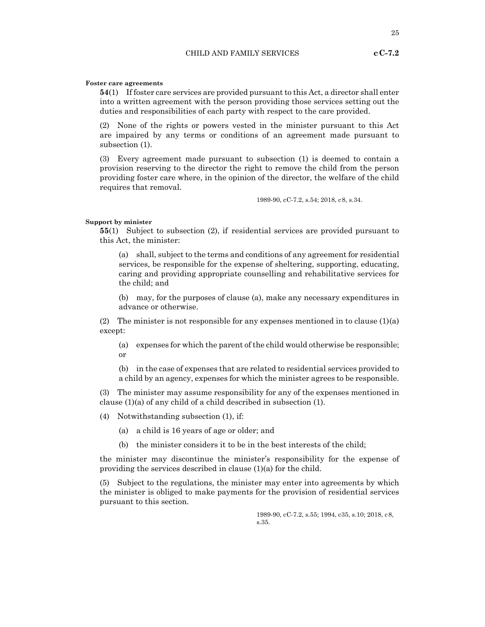#### **Foster care agreements**

**54**(1) If foster care services are provided pursuant to this Act, a director shall enter into a written agreement with the person providing those services setting out the duties and responsibilities of each party with respect to the care provided.

(2) None of the rights or powers vested in the minister pursuant to this Act are impaired by any terms or conditions of an agreement made pursuant to subsection (1).

(3) Every agreement made pursuant to subsection (1) is deemed to contain a provision reserving to the director the right to remove the child from the person providing foster care where, in the opinion of the director, the welfare of the child requires that removal.

1989-90, cC-7.2, s.54; 2018, c8, s.34.

#### **Support by minister**

**55**(1) Subject to subsection (2), if residential services are provided pursuant to this Act, the minister:

(a) shall, subject to the terms and conditions of any agreement for residential services, be responsible for the expense of sheltering, supporting, educating, caring and providing appropriate counselling and rehabilitative services for the child; and

(b) may, for the purposes of clause (a), make any necessary expenditures in advance or otherwise.

(2) The minister is not responsible for any expenses mentioned in to clause  $(1)(a)$ except:

(a) expenses for which the parent of the child would otherwise be responsible; or

(b) in the case of expenses that are related to residential services provided to a child by an agency, expenses for which the minister agrees to be responsible.

(3) The minister may assume responsibility for any of the expenses mentioned in clause (1)(a) of any child of a child described in subsection (1).

(4) Notwithstanding subsection (1), if:

(a) a child is 16 years of age or older; and

(b) the minister considers it to be in the best interests of the child;

the minister may discontinue the minister's responsibility for the expense of providing the services described in clause (1)(a) for the child.

(5) Subject to the regulations, the minister may enter into agreements by which the minister is obliged to make payments for the provision of residential services pursuant to this section.

> 1989-90, cC-7.2, s.55; 1994, c35, s.10; 2018, c8, s.35.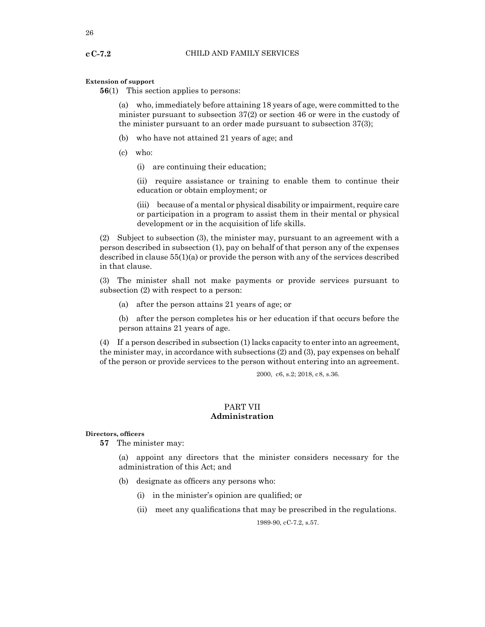#### **Extension of support**

**56**(1) This section applies to persons:

(a) who, immediately before attaining 18 years of age, were committed to the minister pursuant to subsection 37(2) or section 46 or were in the custody of the minister pursuant to an order made pursuant to subsection 37(3);

- (b) who have not attained 21 years of age; and
- (c) who:
	- (i) are continuing their education;

(ii) require assistance or training to enable them to continue their education or obtain employment; or

(iii) because of a mental or physical disability or impairment, require care or participation in a program to assist them in their mental or physical development or in the acquisition of life skills.

(2) Subject to subsection (3), the minister may, pursuant to an agreement with a person described in subsection (1), pay on behalf of that person any of the expenses described in clause 55(1)(a) or provide the person with any of the services described in that clause.

(3) The minister shall not make payments or provide services pursuant to subsection (2) with respect to a person:

- (a) after the person attains 21 years of age; or
- (b) after the person completes his or her education if that occurs before the person attains 21 years of age.

(4) If a person described in subsection (1) lacks capacity to enter into an agreement, the minister may, in accordance with subsections (2) and (3), pay expenses on behalf of the person or provide services to the person without entering into an agreement.

2000, c6, s.2; 2018, c8, s.36.

## PART VII **Administration**

#### **Directors, officers**

**57** The minister may:

(a) appoint any directors that the minister considers necessary for the administration of this Act; and

- (b) designate as officers any persons who:
	- (i) in the minister's opinion are qualified; or
	- (ii) meet any qualifications that may be prescribed in the regulations.

1989-90, cC-7.2, s.57.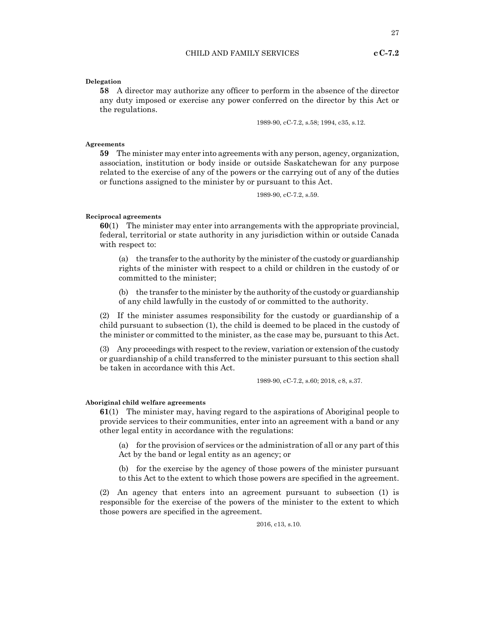27

#### **Delegation**

**58** A director may authorize any officer to perform in the absence of the director any duty imposed or exercise any power conferred on the director by this Act or the regulations.

1989-90, cC-7.2, s.58; 1994, c35, s.12.

## **Agreements**

**59** The minister may enter into agreements with any person, agency, organization, association, institution or body inside or outside Saskatchewan for any purpose related to the exercise of any of the powers or the carrying out of any of the duties or functions assigned to the minister by or pursuant to this Act.

1989-90, cC-7.2, s.59.

#### **Reciprocal agreements**

**60**(1) The minister may enter into arrangements with the appropriate provincial, federal, territorial or state authority in any jurisdiction within or outside Canada with respect to:

(a) the transfer to the authority by the minister of the custody or guardianship rights of the minister with respect to a child or children in the custody of or committed to the minister;

(b) the transfer to the minister by the authority of the custody or guardianship of any child lawfully in the custody of or committed to the authority.

(2) If the minister assumes responsibility for the custody or guardianship of a child pursuant to subsection (1), the child is deemed to be placed in the custody of the minister or committed to the minister, as the case may be, pursuant to this Act.

(3) Any proceedings with respect to the review, variation or extension of the custody or guardianship of a child transferred to the minister pursuant to this section shall be taken in accordance with this Act.

1989-90, cC-7.2, s.60; 2018, c8, s.37.

#### **Aboriginal child welfare agreements**

**61**(1) The minister may, having regard to the aspirations of Aboriginal people to provide services to their communities, enter into an agreement with a band or any other legal entity in accordance with the regulations:

(a) for the provision of services or the administration of all or any part of this Act by the band or legal entity as an agency; or

(b) for the exercise by the agency of those powers of the minister pursuant to this Act to the extent to which those powers are specified in the agreement.

(2) An agency that enters into an agreement pursuant to subsection (1) is responsible for the exercise of the powers of the minister to the extent to which those powers are specified in the agreement.

2016, c13, s.10.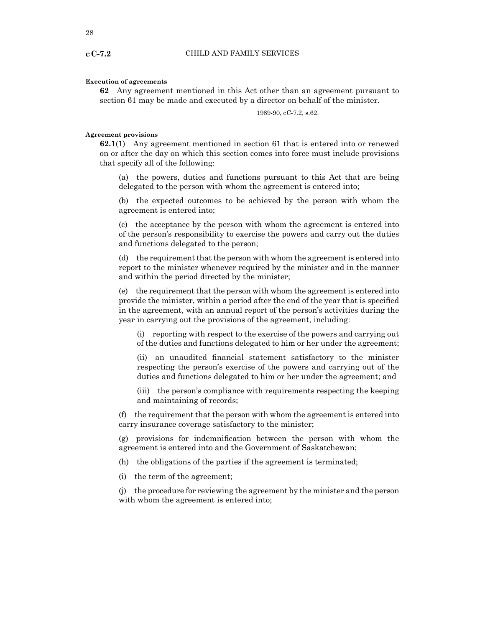#### **Execution of agreements**

**62** Any agreement mentioned in this Act other than an agreement pursuant to section 61 may be made and executed by a director on behalf of the minister.

1989-90, cC-7.2, s.62.

#### **Agreement provisions**

**62.1**(1) Any agreement mentioned in section 61 that is entered into or renewed on or after the day on which this section comes into force must include provisions that specify all of the following:

(a) the powers, duties and functions pursuant to this Act that are being delegated to the person with whom the agreement is entered into;

(b) the expected outcomes to be achieved by the person with whom the agreement is entered into;

(c) the acceptance by the person with whom the agreement is entered into of the person's responsibility to exercise the powers and carry out the duties and functions delegated to the person;

(d) the requirement that the person with whom the agreement is entered into report to the minister whenever required by the minister and in the manner and within the period directed by the minister;

(e) the requirement that the person with whom the agreement is entered into provide the minister, within a period after the end of the year that is specified in the agreement, with an annual report of the person's activities during the year in carrying out the provisions of the agreement, including:

(i) reporting with respect to the exercise of the powers and carrying out of the duties and functions delegated to him or her under the agreement;

(ii) an unaudited financial statement satisfactory to the minister respecting the person's exercise of the powers and carrying out of the duties and functions delegated to him or her under the agreement; and

(iii) the person's compliance with requirements respecting the keeping and maintaining of records;

(f) the requirement that the person with whom the agreement is entered into carry insurance coverage satisfactory to the minister;

(g) provisions for indemnification between the person with whom the agreement is entered into and the Government of Saskatchewan;

(h) the obligations of the parties if the agreement is terminated;

(i) the term of the agreement;

(j) the procedure for reviewing the agreement by the minister and the person with whom the agreement is entered into;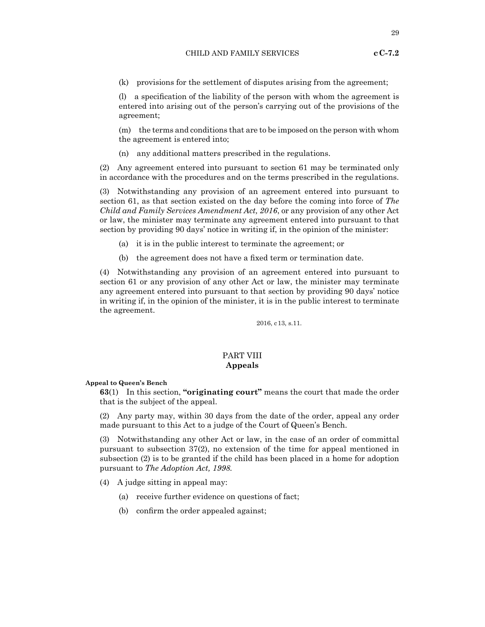## **cC-7.2**

(k) provisions for the settlement of disputes arising from the agreement;

(l) a specification of the liability of the person with whom the agreement is entered into arising out of the person's carrying out of the provisions of the agreement;

(m) the terms and conditions that are to be imposed on the person with whom the agreement is entered into;

(n) any additional matters prescribed in the regulations.

(2) Any agreement entered into pursuant to section 61 may be terminated only in accordance with the procedures and on the terms prescribed in the regulations.

(3) Notwithstanding any provision of an agreement entered into pursuant to section 61, as that section existed on the day before the coming into force of *The Child and Family Services Amendment Act, 2016*, or any provision of any other Act or law, the minister may terminate any agreement entered into pursuant to that section by providing 90 days' notice in writing if, in the opinion of the minister:

- (a) it is in the public interest to terminate the agreement; or
- (b) the agreement does not have a fixed term or termination date.

(4) Notwithstanding any provision of an agreement entered into pursuant to section 61 or any provision of any other Act or law, the minister may terminate any agreement entered into pursuant to that section by providing 90 days' notice in writing if, in the opinion of the minister, it is in the public interest to terminate the agreement.

2016, c13, s.11.

#### PART VIII **Appeals**

#### **Appeal to Queen's Bench**

**63**(1) In this section, **"originating court"** means the court that made the order that is the subject of the appeal.

(2) Any party may, within 30 days from the date of the order, appeal any order made pursuant to this Act to a judge of the Court of Queen's Bench.

(3) Notwithstanding any other Act or law, in the case of an order of committal pursuant to subsection 37(2), no extension of the time for appeal mentioned in subsection (2) is to be granted if the child has been placed in a home for adoption pursuant to *The Adoption Act, 1998.*

(4) A judge sitting in appeal may:

- (a) receive further evidence on questions of fact;
- (b) confirm the order appealed against;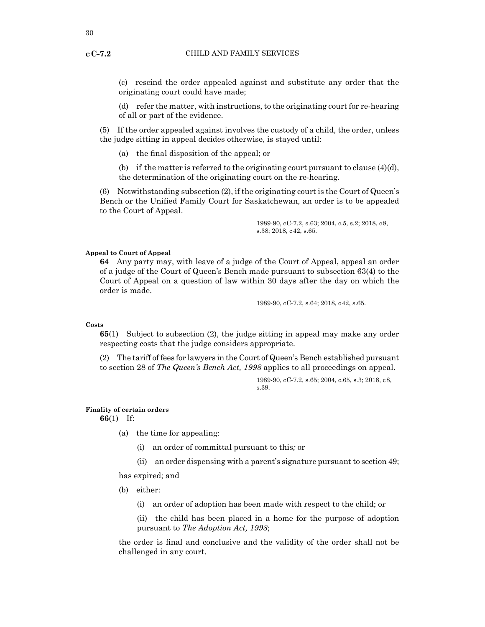(c) rescind the order appealed against and substitute any order that the originating court could have made;

(d) refer the matter, with instructions, to the originating court for re-hearing of all or part of the evidence.

(5) If the order appealed against involves the custody of a child, the order, unless the judge sitting in appeal decides otherwise, is stayed until:

(a) the final disposition of the appeal; or

(b) if the matter is referred to the originating court pursuant to clause  $(4)(d)$ , the determination of the originating court on the re-hearing.

(6) Notwithstanding subsection (2), if the originating court is the Court of Queen's Bench or the Unified Family Court for Saskatchewan, an order is to be appealed to the Court of Appeal.

> 1989-90, cC-7.2, s.63; 2004, c.5, s.2; 2018, c8, s.38; 2018, c42, s.65.

#### **Appeal to Court of Appeal**

**64** Any party may, with leave of a judge of the Court of Appeal, appeal an order of a judge of the Court of Queen's Bench made pursuant to subsection 63(4) to the Court of Appeal on a question of law within 30 days after the day on which the order is made.

1989-90, cC-7.2, s.64; 2018, c42, s.65.

#### **Costs**

**65**(1) Subject to subsection (2), the judge sitting in appeal may make any order respecting costs that the judge considers appropriate.

(2) The tariff of fees for lawyers in the Court of Queen's Bench established pursuant to section 28 of *The Queen's Bench Act, 1998* applies to all proceedings on appeal.

> 1989-90, cC-7.2, s.65; 2004, c.65, s.3; 2018, c8, s.39.

#### **Finality of certain orders**

**66**(1) If:

- (a) the time for appealing:
	- (i) an order of committal pursuant to this*;* or
	- (ii) an order dispensing with a parent's signature pursuant to section 49;

has expired; and

- (b) either:
	- (i) an order of adoption has been made with respect to the child; or
	- (ii) the child has been placed in a home for the purpose of adoption pursuant to *The Adoption Act, 1998*;

the order is final and conclusive and the validity of the order shall not be challenged in any court.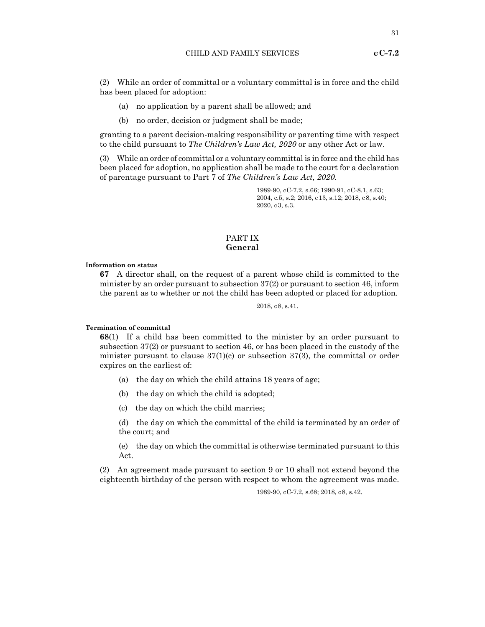(2) While an order of committal or a voluntary committal is in force and the child has been placed for adoption:

- (a) no application by a parent shall be allowed; and
- (b) no order, decision or judgment shall be made;

granting to a parent decision-making responsibility or parenting time with respect to the child pursuant to *The Children's Law Act, 2020* or any other Act or law.

(3) While an order of committal or a voluntary committal is in force and the child has been placed for adoption, no application shall be made to the court for a declaration of parentage pursuant to Part 7 of *The Children's Law Act, 2020.*

> 1989-90, cC-7.2, s.66; 1990-91, cC-8.1, s.63; 2004, c.5, s.2; 2016, c13, s.12; 2018, c8, s.40; 2020, c3, s.3.

## PART IX **General**

**Information on status**

**67** A director shall, on the request of a parent whose child is committed to the minister by an order pursuant to subsection 37(2) or pursuant to section 46, inform the parent as to whether or not the child has been adopted or placed for adoption.

2018, c8, s.41.

**Termination of committal**

**68**(1) If a child has been committed to the minister by an order pursuant to subsection 37(2) or pursuant to section 46, or has been placed in the custody of the minister pursuant to clause  $37(1)(c)$  or subsection  $37(3)$ , the committal or order expires on the earliest of:

- (a) the day on which the child attains 18 years of age;
- (b) the day on which the child is adopted;
- (c) the day on which the child marries;

(d) the day on which the committal of the child is terminated by an order of the court; and

(e) the day on which the committal is otherwise terminated pursuant to this Act.

(2) An agreement made pursuant to section 9 or 10 shall not extend beyond the eighteenth birthday of the person with respect to whom the agreement was made.

1989-90, cC-7.2, s.68; 2018, c8, s.42.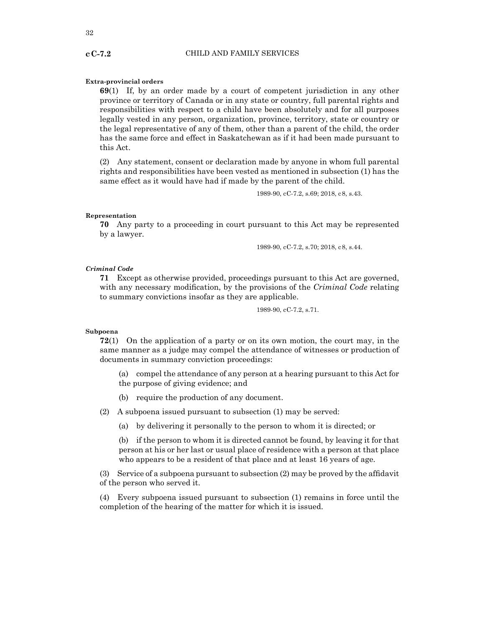#### **Extra-provincial orders**

**69**(1) If, by an order made by a court of competent jurisdiction in any other province or territory of Canada or in any state or country, full parental rights and responsibilities with respect to a child have been absolutely and for all purposes legally vested in any person, organization, province, territory, state or country or the legal representative of any of them, other than a parent of the child, the order has the same force and effect in Saskatchewan as if it had been made pursuant to this Act.

(2) Any statement, consent or declaration made by anyone in whom full parental rights and responsibilities have been vested as mentioned in subsection (1) has the same effect as it would have had if made by the parent of the child.

1989-90, cC-7.2, s.69; 2018, c8, s.43.

#### **Representation**

**70** Any party to a proceeding in court pursuant to this Act may be represented by a lawyer.

1989-90, cC-7.2, s.70; 2018, c8, s.44.

#### *Criminal Code*

**71** Except as otherwise provided, proceedings pursuant to this Act are governed, with any necessary modification, by the provisions of the *Criminal Code* relating to summary convictions insofar as they are applicable.

1989-90, cC-7.2, s.71.

#### **Subpoena**

**72**(1) On the application of a party or on its own motion, the court may, in the same manner as a judge may compel the attendance of witnesses or production of documents in summary conviction proceedings:

- (a) compel the attendance of any person at a hearing pursuant to this Act for the purpose of giving evidence; and
- (b) require the production of any document.

(2) A subpoena issued pursuant to subsection (1) may be served:

(a) by delivering it personally to the person to whom it is directed; or

(b) if the person to whom it is directed cannot be found, by leaving it for that person at his or her last or usual place of residence with a person at that place who appears to be a resident of that place and at least 16 years of age.

(3) Service of a subpoena pursuant to subsection (2) may be proved by the affidavit of the person who served it.

(4) Every subpoena issued pursuant to subsection (1) remains in force until the completion of the hearing of the matter for which it is issued.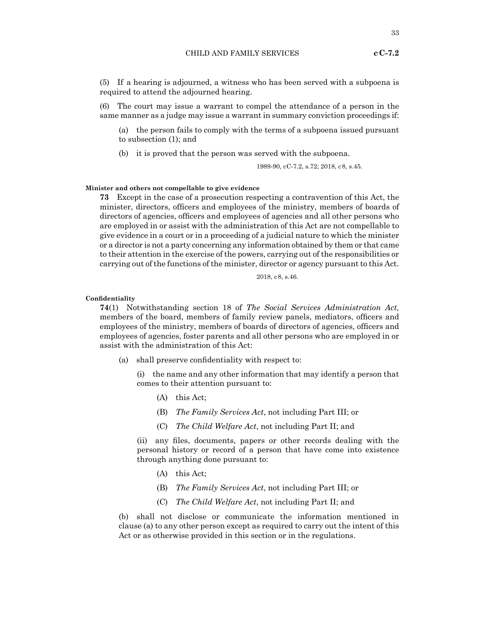**cC-7.2** 

(5) If a hearing is adjourned, a witness who has been served with a subpoena is required to attend the adjourned hearing.

(6) The court may issue a warrant to compel the attendance of a person in the same manner as a judge may issue a warrant in summary conviction proceedings if:

(a) the person fails to comply with the terms of a subpoena issued pursuant to subsection (1); and

(b) it is proved that the person was served with the subpoena.

1989-90, cC-7.2, s.72; 2018, c8, s.45.

#### **Minister and others not compellable to give evidence**

**73** Except in the case of a prosecution respecting a contravention of this Act, the minister, directors, officers and employees of the ministry, members of boards of directors of agencies, officers and employees of agencies and all other persons who are employed in or assist with the administration of this Act are not compellable to give evidence in a court or in a proceeding of a judicial nature to which the minister or a director is not a party concerning any information obtained by them or that came to their attention in the exercise of the powers, carrying out of the responsibilities or carrying out of the functions of the minister, director or agency pursuant to this Act.

2018, c8, s.46.

#### **Confidentiality**

**74**(1) Notwithstanding section 18 of *The Social Services Administration Act,* members of the board, members of family review panels, mediators, officers and employees of the ministry, members of boards of directors of agencies, officers and employees of agencies, foster parents and all other persons who are employed in or assist with the administration of this Act:

(a) shall preserve confidentiality with respect to:

(i) the name and any other information that may identify a person that comes to their attention pursuant to:

- (A) this Act;
- (B) *The Family Services Act*, not including Part III; or
- (C) *The Child Welfare Act*, not including Part II; and

(ii) any files, documents, papers or other records dealing with the personal history or record of a person that have come into existence through anything done pursuant to:

- (A) this Act;
- (B) *The Family Services Act*, not including Part III; or
- (C) *The Child Welfare Act*, not including Part II; and

(b) shall not disclose or communicate the information mentioned in clause (a) to any other person except as required to carry out the intent of this Act or as otherwise provided in this section or in the regulations.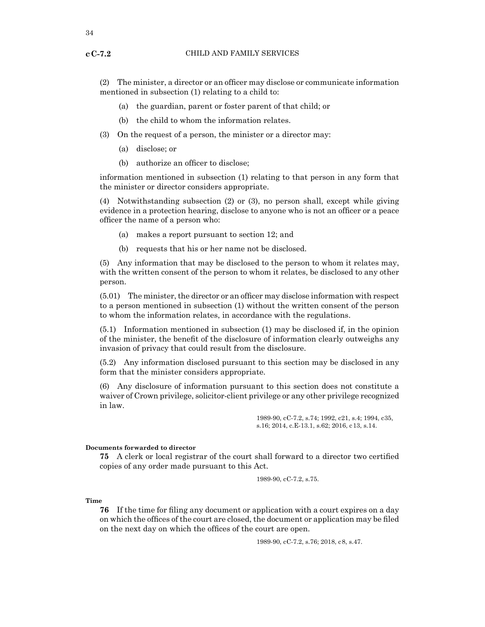(2) The minister, a director or an officer may disclose or communicate information mentioned in subsection (1) relating to a child to:

- (a) the guardian, parent or foster parent of that child; or
- (b) the child to whom the information relates.
- (3) On the request of a person, the minister or a director may:
	- (a) disclose; or
	- (b) authorize an officer to disclose;

information mentioned in subsection (1) relating to that person in any form that the minister or director considers appropriate.

(4) Notwithstanding subsection (2) or (3), no person shall, except while giving evidence in a protection hearing, disclose to anyone who is not an officer or a peace officer the name of a person who:

- (a) makes a report pursuant to section 12; and
- (b) requests that his or her name not be disclosed.

(5) Any information that may be disclosed to the person to whom it relates may, with the written consent of the person to whom it relates, be disclosed to any other person.

(5.01) The minister, the director or an officer may disclose information with respect to a person mentioned in subsection (1) without the written consent of the person to whom the information relates, in accordance with the regulations.

(5.1) Information mentioned in subsection (1) may be disclosed if, in the opinion of the minister, the benefit of the disclosure of information clearly outweighs any invasion of privacy that could result from the disclosure.

(5.2) Any information disclosed pursuant to this section may be disclosed in any form that the minister considers appropriate.

(6) Any disclosure of information pursuant to this section does not constitute a waiver of Crown privilege, solicitor-client privilege or any other privilege recognized in law.

> 1989-90, cC-7.2, s.74; 1992, c21, s.4; 1994, c35, s.16; 2014, c.E-13.1, s.62; 2016, c13, s.14.

#### **Documents forwarded to director**

**75** A clerk or local registrar of the court shall forward to a director two certified copies of any order made pursuant to this Act.

1989-90, cC-7.2, s.75.

**Time**

**76** If the time for filing any document or application with a court expires on a day on which the offices of the court are closed, the document or application may be filed on the next day on which the offices of the court are open.

1989-90, cC-7.2, s.76; 2018, c8, s.47.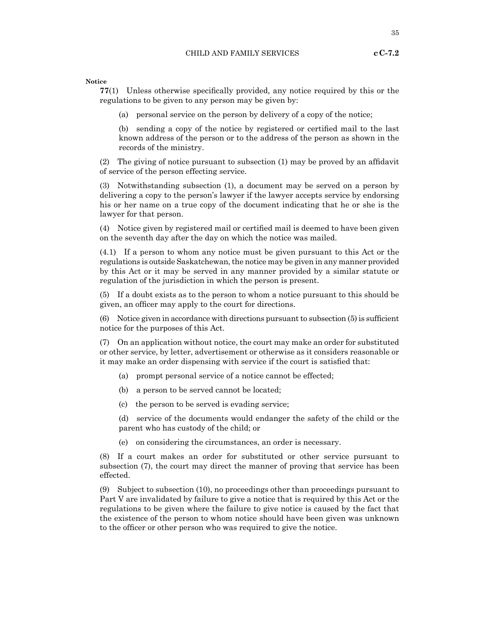**Notice**

**77**(1) Unless otherwise specifically provided, any notice required by this or the regulations to be given to any person may be given by:

(a) personal service on the person by delivery of a copy of the notice;

(b) sending a copy of the notice by registered or certified mail to the last known address of the person or to the address of the person as shown in the records of the ministry.

(2) The giving of notice pursuant to subsection (1) may be proved by an affidavit of service of the person effecting service.

(3) Notwithstanding subsection (1), a document may be served on a person by delivering a copy to the person's lawyer if the lawyer accepts service by endorsing his or her name on a true copy of the document indicating that he or she is the lawyer for that person.

(4) Notice given by registered mail or certified mail is deemed to have been given on the seventh day after the day on which the notice was mailed.

(4.1) If a person to whom any notice must be given pursuant to this Act or the regulations is outside Saskatchewan, the notice may be given in any manner provided by this Act or it may be served in any manner provided by a similar statute or regulation of the jurisdiction in which the person is present.

(5) If a doubt exists as to the person to whom a notice pursuant to this should be given, an officer may apply to the court for directions.

 $(6)$  Notice given in accordance with directions pursuant to subsection  $(5)$  is sufficient notice for the purposes of this Act.

(7) On an application without notice, the court may make an order for substituted or other service, by letter, advertisement or otherwise as it considers reasonable or it may make an order dispensing with service if the court is satisfied that:

- (a) prompt personal service of a notice cannot be effected;
- (b) a person to be served cannot be located;
- (c) the person to be served is evading service;

(d) service of the documents would endanger the safety of the child or the parent who has custody of the child; or

(e) on considering the circumstances, an order is necessary.

(8) If a court makes an order for substituted or other service pursuant to subsection (7), the court may direct the manner of proving that service has been effected.

(9) Subject to subsection (10), no proceedings other than proceedings pursuant to Part V are invalidated by failure to give a notice that is required by this Act or the regulations to be given where the failure to give notice is caused by the fact that the existence of the person to whom notice should have been given was unknown to the officer or other person who was required to give the notice.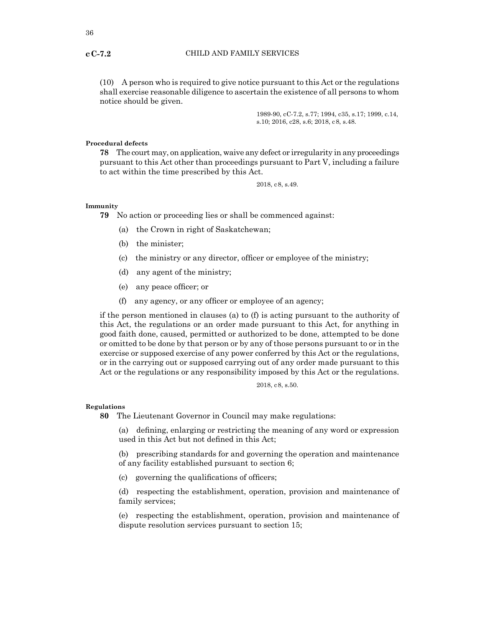(10) A person who is required to give notice pursuant to this Act or the regulations shall exercise reasonable diligence to ascertain the existence of all persons to whom notice should be given.

> 1989-90, cC-7.2, s.77; 1994, c35, s.17; 1999, c.14, s.10; 2016, c28, s.6; 2018, c8, s.48.

#### **Procedural defects**

**78** The court may, on application, waive any defect or irregularity in any proceedings pursuant to this Act other than proceedings pursuant to Part V, including a failure to act within the time prescribed by this Act.

2018, c8, s.49.

#### **Immunity**

**79** No action or proceeding lies or shall be commenced against:

- (a) the Crown in right of Saskatchewan;
- (b) the minister;
- (c) the ministry or any director, officer or employee of the ministry;
- (d) any agent of the ministry;
- (e) any peace officer; or
- (f) any agency, or any officer or employee of an agency;

if the person mentioned in clauses (a) to (f) is acting pursuant to the authority of this Act, the regulations or an order made pursuant to this Act, for anything in good faith done, caused, permitted or authorized to be done, attempted to be done or omitted to be done by that person or by any of those persons pursuant to or in the exercise or supposed exercise of any power conferred by this Act or the regulations, or in the carrying out or supposed carrying out of any order made pursuant to this Act or the regulations or any responsibility imposed by this Act or the regulations.

2018, c8, s.50.

#### **Regulations**

**80** The Lieutenant Governor in Council may make regulations:

(a) defining, enlarging or restricting the meaning of any word or expression used in this Act but not defined in this Act;

(b) prescribing standards for and governing the operation and maintenance of any facility established pursuant to section 6;

(c) governing the qualifications of officers;

(d) respecting the establishment, operation, provision and maintenance of family services;

(e) respecting the establishment, operation, provision and maintenance of dispute resolution services pursuant to section 15;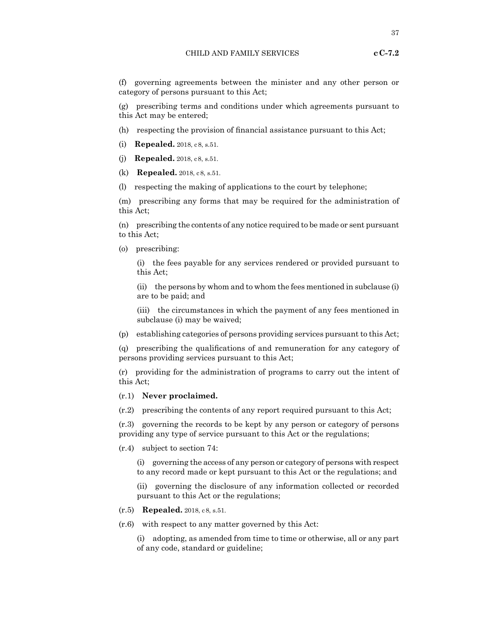(f) governing agreements between the minister and any other person or category of persons pursuant to this Act;

(g) prescribing terms and conditions under which agreements pursuant to this Act may be entered;

- (h) respecting the provision of financial assistance pursuant to this Act;
- (i) **Repealed.** 2018, c8, s.51.
- (j) **Repealed.** 2018, c8, s.51.
- (k) **Repealed.** 2018, c8, s.51.
- (l) respecting the making of applications to the court by telephone;

(m) prescribing any forms that may be required for the administration of this Act;

(n) prescribing the contents of any notice required to be made or sent pursuant to this Act;

(o) prescribing:

(i) the fees payable for any services rendered or provided pursuant to this Act;

(ii) the persons by whom and to whom the fees mentioned in subclause (i) are to be paid; and

(iii) the circumstances in which the payment of any fees mentioned in subclause (i) may be waived;

(p) establishing categories of persons providing services pursuant to this Act;

(q) prescribing the qualifications of and remuneration for any category of persons providing services pursuant to this Act;

(r) providing for the administration of programs to carry out the intent of this Act;

## (r.1) **Never proclaimed.**

(r.2) prescribing the contents of any report required pursuant to this Act;

(r.3) governing the records to be kept by any person or category of persons providing any type of service pursuant to this Act or the regulations;

(r.4) subject to section 74:

(i) governing the access of any person or category of persons with respect to any record made or kept pursuant to this Act or the regulations; and

(ii) governing the disclosure of any information collected or recorded pursuant to this Act or the regulations;

- (r.5) **Repealed.** 2018, c8, s.51.
- (r.6) with respect to any matter governed by this Act:

(i) adopting, as amended from time to time or otherwise, all or any part of any code, standard or guideline;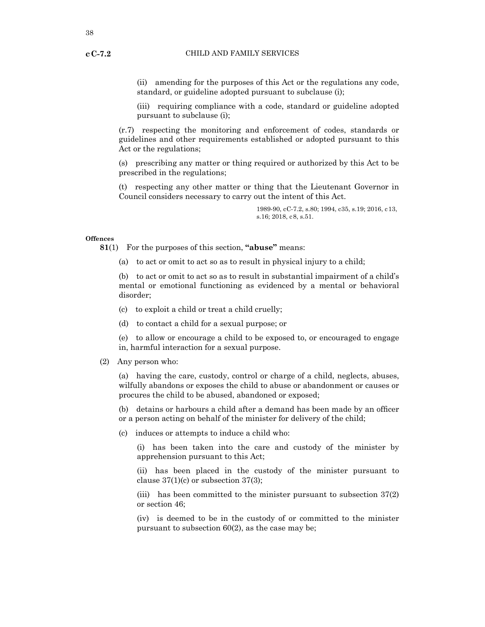(ii) amending for the purposes of this Act or the regulations any code, standard, or guideline adopted pursuant to subclause (i);

(iii) requiring compliance with a code, standard or guideline adopted pursuant to subclause (i);

(r.7) respecting the monitoring and enforcement of codes, standards or guidelines and other requirements established or adopted pursuant to this Act or the regulations;

(s) prescribing any matter or thing required or authorized by this Act to be prescribed in the regulations;

(t) respecting any other matter or thing that the Lieutenant Governor in Council considers necessary to carry out the intent of this Act.

> 1989-90, cC-7.2, s.80; 1994, c35, s.19; 2016, c13, s.16; 2018, c8, s.51.

#### **Offences**

**81**(1) For the purposes of this section, **"abuse"** means:

(a) to act or omit to act so as to result in physical injury to a child;

(b) to act or omit to act so as to result in substantial impairment of a child's mental or emotional functioning as evidenced by a mental or behavioral disorder;

- (c) to exploit a child or treat a child cruelly;
- (d) to contact a child for a sexual purpose; or

(e) to allow or encourage a child to be exposed to, or encouraged to engage in, harmful interaction for a sexual purpose.

(2) Any person who:

(a) having the care, custody, control or charge of a child, neglects, abuses, wilfully abandons or exposes the child to abuse or abandonment or causes or procures the child to be abused, abandoned or exposed;

(b) detains or harbours a child after a demand has been made by an officer or a person acting on behalf of the minister for delivery of the child;

(c) induces or attempts to induce a child who:

(i) has been taken into the care and custody of the minister by apprehension pursuant to this Act;

(ii) has been placed in the custody of the minister pursuant to clause  $37(1)(c)$  or subsection  $37(3)$ ;

(iii) has been committed to the minister pursuant to subsection 37(2) or section 46;

(iv) is deemed to be in the custody of or committed to the minister pursuant to subsection 60(2), as the case may be;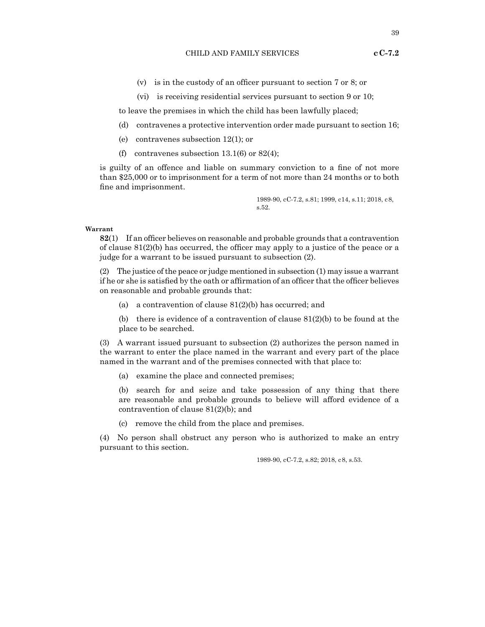- (v) is in the custody of an officer pursuant to section 7 or 8; or
- (vi) is receiving residential services pursuant to section 9 or 10;

to leave the premises in which the child has been lawfully placed;

- (d) contravenes a protective intervention order made pursuant to section 16;
- (e) contravenes subsection 12(1); or
- (f) contravenes subsection 13.1(6) or 82(4);

is guilty of an offence and liable on summary conviction to a fine of not more than \$25,000 or to imprisonment for a term of not more than 24 months or to both fine and imprisonment.

> 1989-90, cC-7.2, s.81; 1999, c14, s.11; 2018, c8, s.52.

#### **Warrant**

**82**(1) If an officer believes on reasonable and probable grounds that a contravention of clause 81(2)(b) has occurred, the officer may apply to a justice of the peace or a judge for a warrant to be issued pursuant to subsection (2).

(2) The justice of the peace or judge mentioned in subsection (1) may issue a warrant if he or she is satisfied by the oath or affirmation of an officer that the officer believes on reasonable and probable grounds that:

(a) a contravention of clause  $81(2)(b)$  has occurred; and

(b) there is evidence of a contravention of clause  $81(2)(b)$  to be found at the place to be searched.

(3) A warrant issued pursuant to subsection (2) authorizes the person named in the warrant to enter the place named in the warrant and every part of the place named in the warrant and of the premises connected with that place to:

(a) examine the place and connected premises;

(b) search for and seize and take possession of any thing that there are reasonable and probable grounds to believe will afford evidence of a contravention of clause 81(2)(b); and

(c) remove the child from the place and premises.

(4) No person shall obstruct any person who is authorized to make an entry pursuant to this section.

1989-90, cC-7.2, s.82; 2018, c8, s.53.